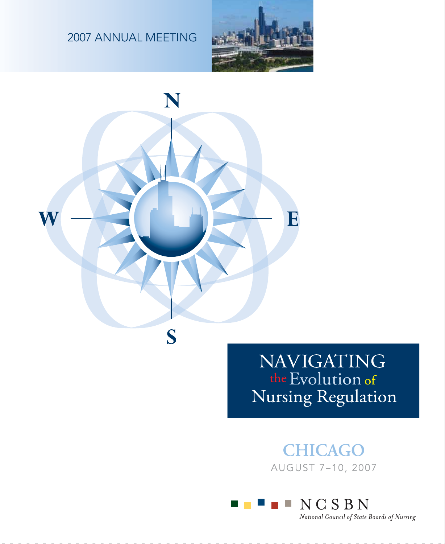# 2007 ANNUAL MEETING





# NAVIGATING the Evolution of Nursing Regulation

**CHICAGO** AUGUST 7-10, 2007

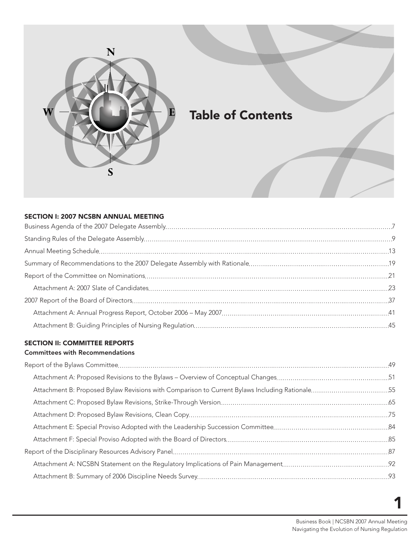

# **Table of Contents**

# **SECTION I: 2007 NCSBN ANNUAL MEETING**

### **SECTION II: COMMITTEE REPORTS**

# **Committees with Recommendations**

| Attachment B: Proposed Bylaw Revisions with Comparison to Current Bylaws Including Rationale55 |  |
|------------------------------------------------------------------------------------------------|--|
|                                                                                                |  |
|                                                                                                |  |
|                                                                                                |  |
|                                                                                                |  |
|                                                                                                |  |
|                                                                                                |  |
|                                                                                                |  |
|                                                                                                |  |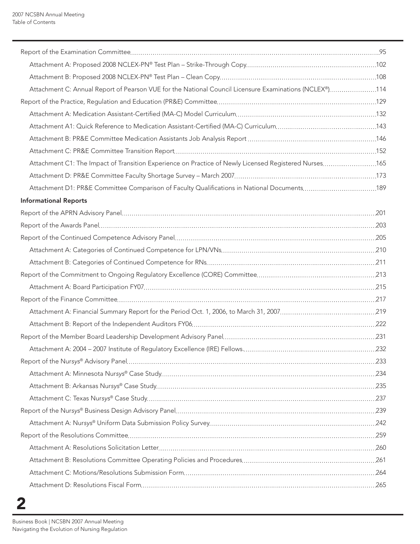| Attachment C: Annual Report of Pearson VUE for the National Council Licensure Examinations (NCLEX®) 114 |  |
|---------------------------------------------------------------------------------------------------------|--|
|                                                                                                         |  |
|                                                                                                         |  |
|                                                                                                         |  |
|                                                                                                         |  |
|                                                                                                         |  |
| Attachment C1: The Impact of Transition Experience on Practice of Newly Licensed Registered Nurses165   |  |
|                                                                                                         |  |
| Attachment D1: PR&E Committee Comparison of Faculty Qualifications in National Documents189             |  |
| <b>Informational Reports</b>                                                                            |  |
|                                                                                                         |  |
|                                                                                                         |  |
|                                                                                                         |  |
|                                                                                                         |  |
|                                                                                                         |  |
|                                                                                                         |  |
|                                                                                                         |  |
|                                                                                                         |  |
|                                                                                                         |  |
|                                                                                                         |  |
|                                                                                                         |  |
|                                                                                                         |  |
|                                                                                                         |  |
|                                                                                                         |  |
|                                                                                                         |  |
|                                                                                                         |  |
|                                                                                                         |  |
|                                                                                                         |  |
|                                                                                                         |  |
|                                                                                                         |  |
|                                                                                                         |  |
|                                                                                                         |  |
|                                                                                                         |  |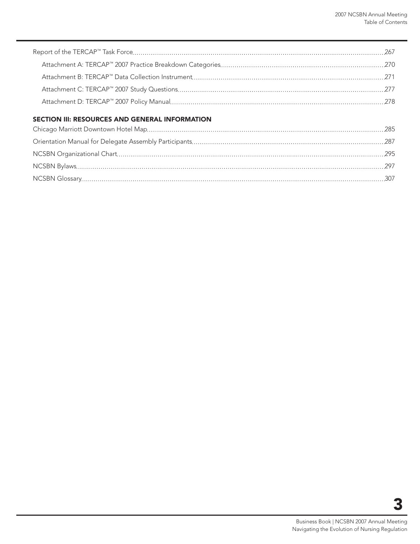# **SECTION III: RESOURCES AND GENERAL INFORMATION**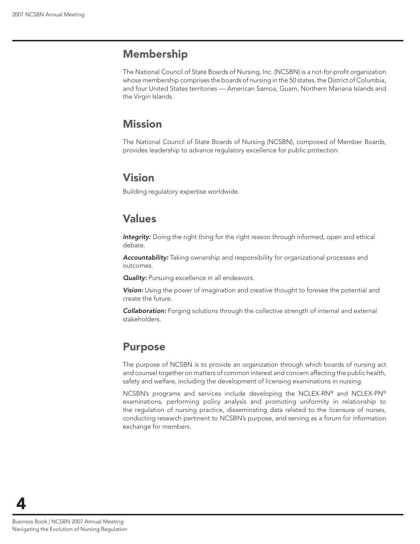# **Membership**

The National Council of State Boards of Nursing, Inc. (NCSBN) is a not-for-profit organization whose membership comprises the boards of nursing in the 50 states, the District of Columbia, and four United States territories — American Samoa, Guam, Northern Mariana Islands and the Virgin Islands.

# **Mission**

The National Council of State Boards of Nursing (NCSBN), composed of Member Boards, provides leadership to advance regulatory excellence for public protection.

# **Vision**

Building regulatory expertise worldwide.

# **Values**

*Integrity:* Doing the right thing for the right reason through informed, open and ethical debate.

*Accountability:* Taking ownership and responsibility for organizational processes and outcomes.

**Quality:** Pursuing excellence in all endeavors.

*Vision:* Using the power of imagination and creative thought to foresee the potential and create the future.

*Collaboration:* Forging solutions through the collective strength of internal and external stakeholders.

# **Purpose**

The purpose of NCSBN is to provide an organization through which boards of nursing act and counsel together on matters of common interest and concern affecting the public health, safety and welfare, including the development of licensing examinations in nursing.

NCSBN's programs and services include developing the NCLEX-RN® and NCLEX-PN® examinations, performing policy analysis and promoting uniformity in relationship to the regulation of nursing practice, disseminating data related to the licensure of nurses, conducting research pertinent to NCSBN's purpose, and serving as a forum for information exchange for members.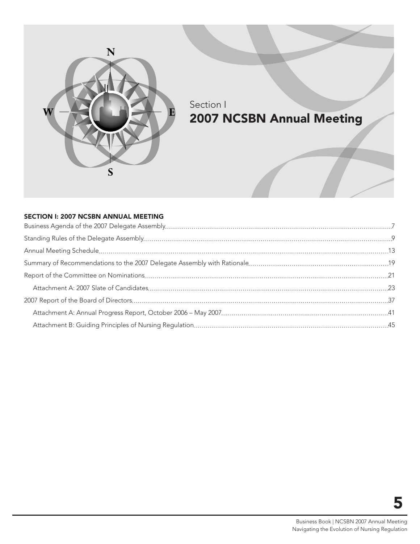![](_page_5_Picture_0.jpeg)

# Section I **2007 NCSBN Annual Meeting**

# **SECTION I: 2007 NCSBN ANNUAL MEETING**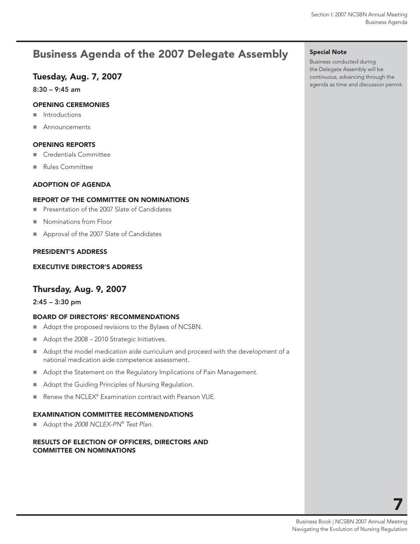# <span id="page-7-0"></span>**Business Agenda of the 2007 Delegate Assembly**

# **Tuesday, Aug. 7, 2007**

**8:30 – 9:45 am**

# **OPENING CEREMONIES**

- Introductions
- Announcements

### **OPENING REPORTS**

- Credentials Committee
- Rules Committee

# **ADOPTION OF AGENDA**

### **REPORT OF THE COMMITTEE ON NOMINATIONS**

- Presentation of the 2007 Slate of Candidates
- Nominations from Floor
- Approval of the 2007 Slate of Candidates

# **PRESIDENT'S ADDRESS**

**EXECUTIVE DIRECTOR'S ADDRESS**

# **Thursday, Aug. 9, 2007**

**2:45 – 3:30 pm**

# **BOARD OF DIRECTORS' RECOMMENDATIONS**

- Adopt the proposed revisions to the Bylaws of NCSBN.
- Adopt the 2008 2010 Strategic Initiatives.
- Adopt the model medication aide curriculum and proceed with the development of a national medication aide competence assessment.
- Adopt the Statement on the Regulatory Implications of Pain Management.
- Adopt the Guiding Principles of Nursing Regulation.
- Renew the NCLEX® Examination contract with Pearson VUE.

# **EXAMINATION COMMITTEE RECOMMENDATIONS**

Adopt the 2008 NCLEX-PN® Test Plan.

# **RESULTS OF ELECTION OF OFFICERS, DIRECTORS AND COMMITTEE ON NOMINATIONS**

# **Special Note**

Business conducted during the Delegate Assembly will be continuous, advancing through the agenda as time and discussion permit.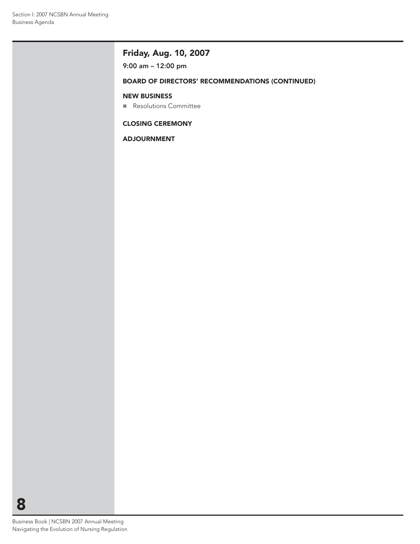# **Friday, Aug. 10, 2007**

**9:00 am – 12:00 pm**

# **BOARD OF DIRECTORS' RECOMMENDATIONS (CONTINUED)**

# **NEW BUSINESS**

Resolutions Committee

### **CLOSING CEREMONY**

**ADJOURNMENT**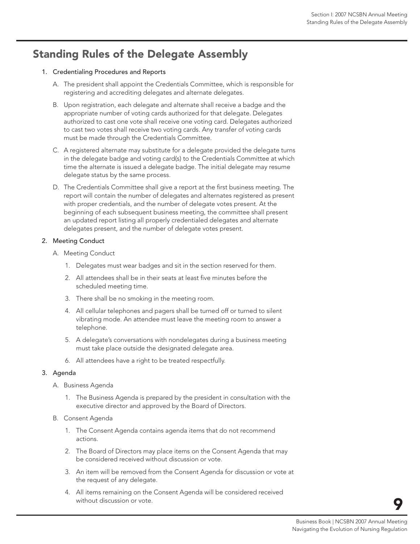# <span id="page-9-0"></span>**Standing Rules of the Delegate Assembly**

# 1. Credentialing Procedures and Reports

- A. The president shall appoint the Credentials Committee, which is responsible for registering and accrediting delegates and alternate delegates.
- B. Upon registration, each delegate and alternate shall receive a badge and the appropriate number of voting cards authorized for that delegate. Delegates authorized to cast one vote shall receive one voting card. Delegates authorized to cast two votes shall receive two voting cards. Any transfer of voting cards must be made through the Credentials Committee.
- C. A registered alternate may substitute for a delegate provided the delegate turns in the delegate badge and voting card(s) to the Credentials Committee at which time the alternate is issued a delegate badge. The initial delegate may resume delegate status by the same process.
- D. The Credentials Committee shall give a report at the first business meeting. The report will contain the number of delegates and alternates registered as present with proper credentials, and the number of delegate votes present. At the beginning of each subsequent business meeting, the committee shall present an updated report listing all properly credentialed delegates and alternate delegates present, and the number of delegate votes present.

### 2. Meeting Conduct

- A. Meeting Conduct
	- 1. Delegates must wear badges and sit in the section reserved for them.
	- 2. All attendees shall be in their seats at least five minutes before the scheduled meeting time.
	- 3. There shall be no smoking in the meeting room.
	- 4. All cellular telephones and pagers shall be turned off or turned to silent vibrating mode. An attendee must leave the meeting room to answer a telephone.
	- 5. A delegate's conversations with nondelegates during a business meeting must take place outside the designated delegate area.
	- 6. All attendees have a right to be treated respectfully.

# 3. Agenda

- A. Business Agenda
	- 1. The Business Agenda is prepared by the president in consultation with the executive director and approved by the Board of Directors.
- B. Consent Agenda
	- 1. The Consent Agenda contains agenda items that do not recommend actions.
	- 2. The Board of Directors may place items on the Consent Agenda that may be considered received without discussion or vote.
	- 3. An item will be removed from the Consent Agenda for discussion or vote at the request of any delegate.
	- 4. All items remaining on the Consent Agenda will be considered received without discussion or vote.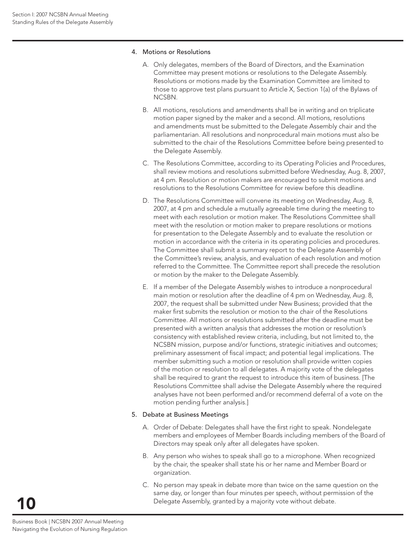#### 4. Motions or Resolutions

- A. Only delegates, members of the Board of Directors, and the Examination Committee may present motions or resolutions to the Delegate Assembly. Resolutions or motions made by the Examination Committee are limited to those to approve test plans pursuant to Article X, Section 1(a) of the Bylaws of NCSBN.
- B. All motions, resolutions and amendments shall be in writing and on triplicate motion paper signed by the maker and a second. All motions, resolutions and amendments must be submitted to the Delegate Assembly chair and the parliamentarian. All resolutions and nonprocedural main motions must also be submitted to the chair of the Resolutions Committee before being presented to the Delegate Assembly.
- C. The Resolutions Committee, according to its Operating Policies and Procedures, shall review motions and resolutions submitted before Wednesday, Aug. 8, 2007, at 4 pm. Resolution or motion makers are encouraged to submit motions and resolutions to the Resolutions Committee for review before this deadline.
- D. The Resolutions Committee will convene its meeting on Wednesday, Aug. 8, 2007, at 4 pm and schedule a mutually agreeable time during the meeting to meet with each resolution or motion maker. The Resolutions Committee shall meet with the resolution or motion maker to prepare resolutions or motions for presentation to the Delegate Assembly and to evaluate the resolution or motion in accordance with the criteria in its operating policies and procedures. The Committee shall submit a summary report to the Delegate Assembly of the Committee's review, analysis, and evaluation of each resolution and motion referred to the Committee. The Committee report shall precede the resolution or motion by the maker to the Delegate Assembly.
- E. If a member of the Delegate Assembly wishes to introduce a nonprocedural main motion or resolution after the deadline of 4 pm on Wednesday, Aug. 8, 2007, the request shall be submitted under New Business; provided that the maker first submits the resolution or motion to the chair of the Resolutions Committee. All motions or resolutions submitted after the deadline must be presented with a written analysis that addresses the motion or resolution's consistency with established review criteria, including, but not limited to, the NCSBN mission, purpose and/or functions, strategic initiatives and outcomes; preliminary assessment of fiscal impact; and potential legal implications. The member submitting such a motion or resolution shall provide written copies of the motion or resolution to all delegates. A majority vote of the delegates shall be required to grant the request to introduce this item of business. [The Resolutions Committee shall advise the Delegate Assembly where the required analyses have not been performed and/or recommend deferral of a vote on the motion pending further analysis.]

### 5. Debate at Business Meetings

- A. Order of Debate: Delegates shall have the first right to speak. Nondelegate members and employees of Member Boards including members of the Board of Directors may speak only after all delegates have spoken.
- B. Any person who wishes to speak shall go to a microphone. When recognized by the chair, the speaker shall state his or her name and Member Board or organization.
- C. No person may speak in debate more than twice on the same question on the same day, or longer than four minutes per speech, without permission of the Delegate Assembly, granted by a majority vote without debate.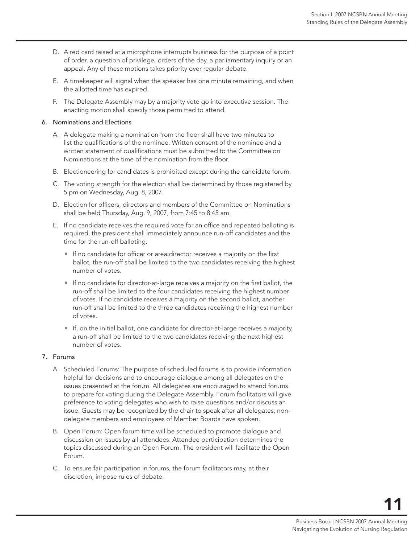- D. A red card raised at a microphone interrupts business for the purpose of a point of order, a question of privilege, orders of the day, a parliamentary inquiry or an appeal. Any of these motions takes priority over regular debate.
- E. A timekeeper will signal when the speaker has one minute remaining, and when the allotted time has expired.
- F. The Delegate Assembly may by a majority vote go into executive session. The enacting motion shall specify those permitted to attend.

### 6. Nominations and Elections

- A. A delegate making a nomination from the floor shall have two minutes to list the qualifications of the nominee. Written consent of the nominee and a written statement of qualifications must be submitted to the Committee on Nominations at the time of the nomination from the floor.
- B. Electioneering for candidates is prohibited except during the candidate forum.
- C. The voting strength for the election shall be determined by those registered by 5 pm on Wednesday, Aug. 8, 2007.
- D. Election for officers, directors and members of the Committee on Nominations shall be held Thursday, Aug. 9, 2007, from 7:45 to 8:45 am.
- E. If no candidate receives the required vote for an office and repeated balloting is required, the president shall immediately announce run-off candidates and the time for the run-off balloting.
	- If no candidate for officer or area director receives a majority on the first ballot, the run-off shall be limited to the two candidates receiving the highest number of votes.
	- If no candidate for director-at-large receives a majority on the first ballot, the run-off shall be limited to the four candidates receiving the highest number of votes. If no candidate receives a majority on the second ballot, another run-off shall be limited to the three candidates receiving the highest number of votes.
	- If, on the initial ballot, one candidate for director-at-large receives a majority, a run-off shall be limited to the two candidates receiving the next highest number of votes.

# 7. Forums

- A. Scheduled Forums: The purpose of scheduled forums is to provide information helpful for decisions and to encourage dialogue among all delegates on the issues presented at the forum. All delegates are encouraged to attend forums to prepare for voting during the Delegate Assembly. Forum facilitators will give preference to voting delegates who wish to raise questions and/or discuss an issue. Guests may be recognized by the chair to speak after all delegates, nondelegate members and employees of Member Boards have spoken.
- B. Open Forum: Open forum time will be scheduled to promote dialogue and discussion on issues by all attendees. Attendee participation determines the topics discussed during an Open Forum. The president will facilitate the Open Forum.
- C. To ensure fair participation in forums, the forum facilitators may, at their discretion, impose rules of debate.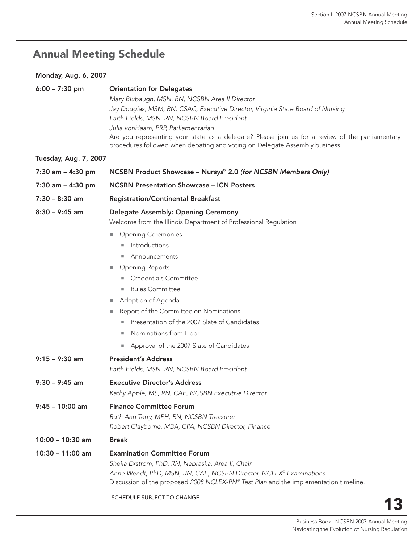# <span id="page-13-0"></span>**Annual Meeting Schedule**

# **Monday, Aug. 6, 2007**

| $6:00 - 7:30$ pm             | <b>Orientation for Delegates</b>                                                                                                                                               |
|------------------------------|--------------------------------------------------------------------------------------------------------------------------------------------------------------------------------|
|                              | Mary Blubaugh, MSN, RN, NCSBN Area II Director                                                                                                                                 |
|                              | Jay Douglas, MSM, RN, CSAC, Executive Director, Virginia State Board of Nursing                                                                                                |
|                              | Faith Fields, MSN, RN, NCSBN Board President                                                                                                                                   |
|                              | Julia vonHaam, PRP, Parliamentarian                                                                                                                                            |
|                              | Are you representing your state as a delegate? Please join us for a review of the parliamentary<br>procedures followed when debating and voting on Delegate Assembly business. |
| <b>Tuesday, Aug. 7, 2007</b> |                                                                                                                                                                                |
| $7:30$ am $-4:30$ pm         | NCSBN Product Showcase - Nursys® 2.0 (for NCSBN Members Only)                                                                                                                  |
| $7:30$ am $-4:30$ pm         | <b>NCSBN Presentation Showcase - ICN Posters</b>                                                                                                                               |
| $7:30 - 8:30$ am             | <b>Registration/Continental Breakfast</b>                                                                                                                                      |
| $8:30 - 9:45$ am             | <b>Delegate Assembly: Opening Ceremony</b>                                                                                                                                     |
|                              | Welcome from the Illinois Department of Professional Regulation                                                                                                                |
|                              | <b>Opening Ceremonies</b><br>$\mathcal{L}_{\mathcal{A}}$                                                                                                                       |
|                              | Introductions                                                                                                                                                                  |
|                              | Announcements                                                                                                                                                                  |
|                              | <b>Opening Reports</b><br>u,                                                                                                                                                   |
|                              | <b>Credentials Committee</b>                                                                                                                                                   |
|                              | <b>Rules Committee</b>                                                                                                                                                         |
|                              | Adoption of Agenda<br>u,                                                                                                                                                       |
|                              | Report of the Committee on Nominations<br>×.                                                                                                                                   |
|                              | Presentation of the 2007 Slate of Candidates<br>ш                                                                                                                              |
|                              | Nominations from Floor<br>ш                                                                                                                                                    |
|                              | Approval of the 2007 Slate of Candidates<br><b>COL</b>                                                                                                                         |
| $9:15 - 9:30$ am             | <b>President's Address</b>                                                                                                                                                     |
|                              | Faith Fields, MSN, RN, NCSBN Board President                                                                                                                                   |
| $9:30 - 9:45$ am             | <b>Executive Director's Address</b>                                                                                                                                            |
|                              | Kathy Apple, MS, RN, CAE, NCSBN Executive Director                                                                                                                             |
| $9:45 - 10:00$ am            | <b>Finance Committee Forum</b>                                                                                                                                                 |
|                              | Ruth Ann Terry, MPH, RN, NCSBN Treasurer<br>Robert Clayborne, MBA, CPA, NCSBN Director, Finance                                                                                |
| $10:00 - 10:30$ am           | <b>Break</b>                                                                                                                                                                   |
| $10:30 - 11:00$ am           | <b>Examination Committee Forum</b>                                                                                                                                             |
|                              | Sheila Exstrom, PhD, RN, Nebraska, Area II, Chair                                                                                                                              |
|                              | Anne Wendt, PhD, MSN, RN, CAE, NCSBN Director, NCLEX® Examinations                                                                                                             |
|                              | Discussion of the proposed 2008 NCLEX-PN® Test Plan and the implementation timeline.                                                                                           |
|                              | SCHEDULE SUBJECT TO CHANGE.                                                                                                                                                    |
|                              |                                                                                                                                                                                |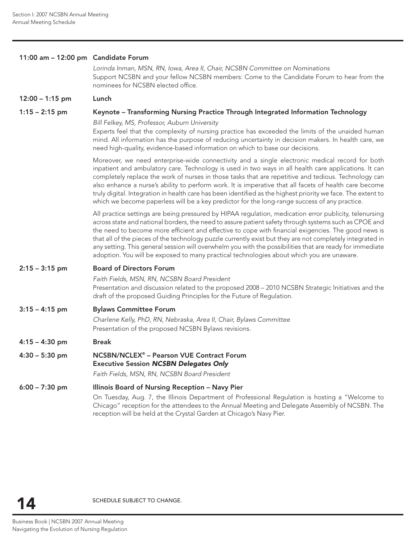| 11:00 am - 12:00 pm Candidate Forum |                                                                                                                                                                                                                                                                                                                                                                                                                                                                                                                                                                                                                                              |
|-------------------------------------|----------------------------------------------------------------------------------------------------------------------------------------------------------------------------------------------------------------------------------------------------------------------------------------------------------------------------------------------------------------------------------------------------------------------------------------------------------------------------------------------------------------------------------------------------------------------------------------------------------------------------------------------|
|                                     | Lorinda Inman, MSN, RN, Iowa, Area II, Chair, NCSBN Committee on Nominations<br>Support NCSBN and your fellow NCSBN members: Come to the Candidate Forum to hear from the<br>nominees for NCSBN elected office.                                                                                                                                                                                                                                                                                                                                                                                                                              |
| $12:00 - 1:15$ pm                   | Lunch                                                                                                                                                                                                                                                                                                                                                                                                                                                                                                                                                                                                                                        |
| $1:15 - 2:15$ pm                    | Keynote - Transforming Nursing Practice Through Integrated Information Technology<br>Bill Felkey, MS, Professor, Auburn University<br>Experts feel that the complexity of nursing practice has exceeded the limits of the unaided human<br>mind. All information has the purpose of reducing uncertainty in decision makers. In health care, we<br>need high-quality, evidence-based information on which to base our decisions.                                                                                                                                                                                                             |
|                                     | Moreover, we need enterprise-wide connectivity and a single electronic medical record for both<br>inpatient and ambulatory care. Technology is used in two ways in all health care applications. It can<br>completely replace the work of nurses in those tasks that are repetitive and tedious. Technology can<br>also enhance a nurse's ability to perform work. It is imperative that all facets of health care become<br>truly digital. Integration in health care has been identified as the highest priority we face. The extent to<br>which we become paperless will be a key predictor for the long-range success of any practice.   |
|                                     | All practice settings are being pressured by HIPAA regulation, medication error publicity, telenursing<br>across state and national borders, the need to assure patient safety through systems such as CPOE and<br>the need to become more efficient and effective to cope with financial exigencies. The good news is<br>that all of the pieces of the technology puzzle currently exist but they are not completely integrated in<br>any setting. This general session will overwhelm you with the possibilities that are ready for immediate<br>adoption. You will be exposed to many practical technologies about which you are unaware. |
| $2:15 - 3:15$ pm                    | <b>Board of Directors Forum</b><br>Faith Fields, MSN, RN, NCSBN Board President<br>Presentation and discussion related to the proposed 2008 - 2010 NCSBN Strategic Initiatives and the<br>draft of the proposed Guiding Principles for the Future of Regulation.                                                                                                                                                                                                                                                                                                                                                                             |
| $3:15 - 4:15$ pm                    | <b>Bylaws Committee Forum</b><br>Charlene Kelly, PhD, RN, Nebraska, Area II, Chair, Bylaws Committee<br>Presentation of the proposed NCSBN Bylaws revisions.                                                                                                                                                                                                                                                                                                                                                                                                                                                                                 |
| $4:15 - 4:30$ pm                    | <b>Break</b>                                                                                                                                                                                                                                                                                                                                                                                                                                                                                                                                                                                                                                 |
| $4:30 - 5:30$ pm                    | <b>NCSBN/NCLEX<sup>®</sup> - Pearson VUE Contract Forum</b><br><b>Executive Session NCSBN Delegates Only</b><br>Faith Fields, MSN, RN, NCSBN Board President                                                                                                                                                                                                                                                                                                                                                                                                                                                                                 |
| $6:00 - 7:30$ pm                    | Illinois Board of Nursing Reception - Navy Pier<br>On Tuesday, Aug. 7, the Illinois Department of Professional Regulation is hosting a "Welcome to<br>Chicago" reception for the attendees to the Annual Meeting and Delegate Assembly of NCSBN. The<br>reception will be held at the Crystal Garden at Chicago's Navy Pier.                                                                                                                                                                                                                                                                                                                 |

**14**

SCHEDULE SUBJECT TO CHANGE.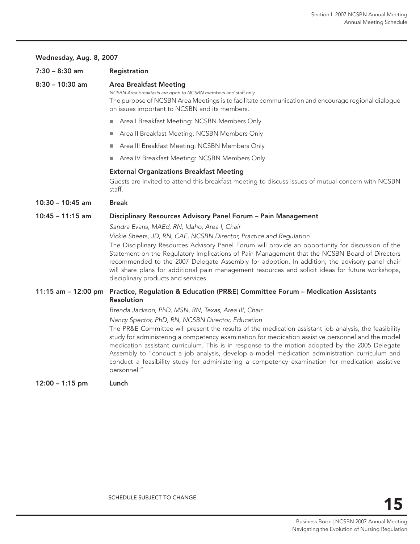| Wednesday, Aug. 8, 2007 |                                                                                                                                                                                                                                                                                                                                                                                                                                                                                                                                                                                                                                                                                                                                                                           |  |  |
|-------------------------|---------------------------------------------------------------------------------------------------------------------------------------------------------------------------------------------------------------------------------------------------------------------------------------------------------------------------------------------------------------------------------------------------------------------------------------------------------------------------------------------------------------------------------------------------------------------------------------------------------------------------------------------------------------------------------------------------------------------------------------------------------------------------|--|--|
| $7:30 - 8:30$ am        | Registration                                                                                                                                                                                                                                                                                                                                                                                                                                                                                                                                                                                                                                                                                                                                                              |  |  |
| $8:30 - 10:30$ am       | <b>Area Breakfast Meeting</b><br>NCSBN Area breakfasts are open to NCSBN members and staff only.<br>The purpose of NCSBN Area Meetings is to facilitate communication and encourage regional dialogue<br>on issues important to NCSBN and its members.                                                                                                                                                                                                                                                                                                                                                                                                                                                                                                                    |  |  |
|                         | Area I Breakfast Meeting: NCSBN Members Only                                                                                                                                                                                                                                                                                                                                                                                                                                                                                                                                                                                                                                                                                                                              |  |  |
|                         | Area II Breakfast Meeting: NCSBN Members Only<br>×.                                                                                                                                                                                                                                                                                                                                                                                                                                                                                                                                                                                                                                                                                                                       |  |  |
|                         | Area III Breakfast Meeting: NCSBN Members Only<br>×.                                                                                                                                                                                                                                                                                                                                                                                                                                                                                                                                                                                                                                                                                                                      |  |  |
|                         | Area IV Breakfast Meeting: NCSBN Members Only<br>u.                                                                                                                                                                                                                                                                                                                                                                                                                                                                                                                                                                                                                                                                                                                       |  |  |
|                         | <b>External Organizations Breakfast Meeting</b><br>Guests are invited to attend this breakfast meeting to discuss issues of mutual concern with NCSBN<br>staff.                                                                                                                                                                                                                                                                                                                                                                                                                                                                                                                                                                                                           |  |  |
| $10:30 - 10:45$ am      | <b>Break</b>                                                                                                                                                                                                                                                                                                                                                                                                                                                                                                                                                                                                                                                                                                                                                              |  |  |
| $10:45 - 11:15$ am      | Disciplinary Resources Advisory Panel Forum - Pain Management<br>Sandra Evans, MAEd, RN, Idaho, Area I, Chair<br>Vickie Sheets, JD, RN, CAE, NCSBN Director, Practice and Regulation<br>The Disciplinary Resources Advisory Panel Forum will provide an opportunity for discussion of the<br>Statement on the Regulatory Implications of Pain Management that the NCSBN Board of Directors<br>recommended to the 2007 Delegate Assembly for adoption. In addition, the advisory panel chair<br>will share plans for additional pain management resources and solicit ideas for future workshops,<br>disciplinary products and services.                                                                                                                                   |  |  |
|                         | 11:15 am - 12:00 pm Practice, Regulation & Education (PR&E) Committee Forum - Medication Assistants<br><b>Resolution</b><br>Brenda Jackson, PhD, MSN, RN, Texas, Area III, Chair<br>Nancy Spector, PhD, RN, NCSBN Director, Education<br>The PR&E Committee will present the results of the medication assistant job analysis, the feasibility<br>study for administering a competency examination for medication assistive personnel and the model<br>medication assistant curriculum. This is in response to the motion adopted by the 2005 Delegate<br>Assembly to "conduct a job analysis, develop a model medication administration curriculum and<br>conduct a feasibility study for administering a competency examination for medication assistive<br>personnel." |  |  |
| $12:00 - 1:15$ pm       | Lunch                                                                                                                                                                                                                                                                                                                                                                                                                                                                                                                                                                                                                                                                                                                                                                     |  |  |

SCHEDULE SUBJECT TO CHANGE.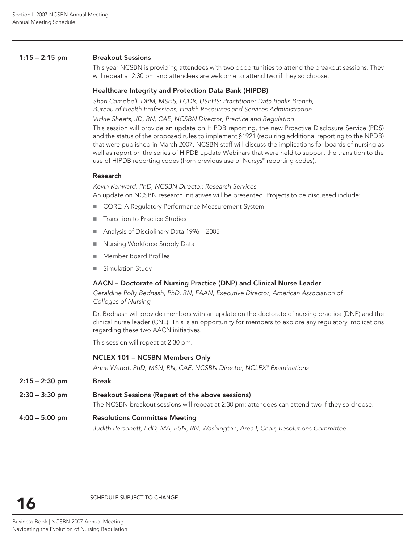### **1:15 – 2:15 pm Breakout Sessions**

This year NCSBN is providing attendees with two opportunities to attend the breakout sessions. They will repeat at 2:30 pm and attendees are welcome to attend two if they so choose.

### **Healthcare Integrity and Protection Data Bank (HIPDB)**

Shari Campbell, DPM, MSHS, LCDR, USPHS; Practitioner Data Banks Branch, Bureau of Health Professions, Health Resources and Services Administration Vickie Sheets, JD, RN, CAE, NCSBN Director, Practice and Regulation

This session will provide an update on HIPDB reporting, the new Proactive Disclosure Service (PDS) and the status of the proposed rules to implement §1921 (requiring additional reporting to the NPDB) that were published in March 2007. NCSBN staff will discuss the implications for boards of nursing as well as report on the series of HIPDB update Webinars that were held to support the transition to the use of HIPDB reporting codes (from previous use of Nursys® reporting codes).

#### **Research**

Kevin Kenward, PhD, NCSBN Director, Research Services An update on NCSBN research initiatives will be presented. Projects to be discussed include:

- CORE: A Regulatory Performance Measurement System
- Transition to Practice Studies
- Analysis of Disciplinary Data 1996 2005
- Nursing Workforce Supply Data
- Member Board Profiles
- Simulation Study

### **AACN – Doctorate of Nursing Practice (DNP) and Clinical Nurse Leader**

Geraldine Polly Bednash, PhD, RN, FAAN, Executive Director, American Association of Colleges of Nursing

Dr. Bednash will provide members with an update on the doctorate of nursing practice (DNP) and the clinical nurse leader (CNL). This is an opportunity for members to explore any regulatory implications regarding these two AACN initiatives.

This session will repeat at 2:30 pm.

### **NCLEX 101 – NCSBN Members Only**

Anne Wendt, PhD, MSN, RN, CAE, NCSBN Director, NCLEX® Examinations

**2:15 – 2:30 pm Break**

### **2:30 – 3:30 pm Breakout Sessions (Repeat of the above sessions)**

The NCSBN breakout sessions will repeat at 2:30 pm; attendees can attend two if they so choose.

### **4:00 – 5:00 pm Resolutions Committee Meeting**

Judith Personett, EdD, MA, BSN, RN, Washington, Area I, Chair, Resolutions Committee

**16**

SCHEDULE SUBJECT TO CHANGE.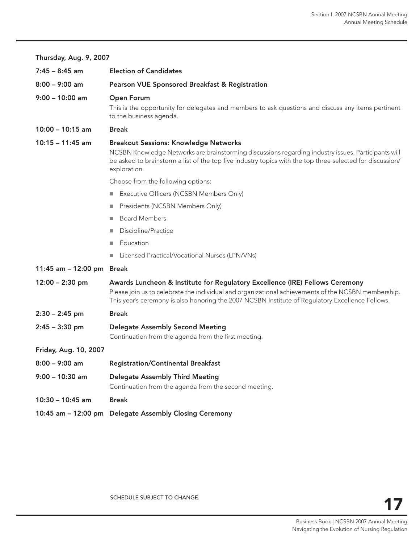| Thursday, Aug. 9, 2007    |                                                                                                                                                                                                                                                                                         |
|---------------------------|-----------------------------------------------------------------------------------------------------------------------------------------------------------------------------------------------------------------------------------------------------------------------------------------|
| $7:45 - 8:45$ am          | <b>Election of Candidates</b>                                                                                                                                                                                                                                                           |
| $8:00 - 9:00$ am          | <b>Pearson VUE Sponsored Breakfast &amp; Registration</b>                                                                                                                                                                                                                               |
| $9:00 - 10:00$ am         | <b>Open Forum</b><br>This is the opportunity for delegates and members to ask questions and discuss any items pertinent<br>to the business agenda.                                                                                                                                      |
| $10:00 - 10:15$ am        | <b>Break</b>                                                                                                                                                                                                                                                                            |
| $10:15 - 11:45$ am        | <b>Breakout Sessions: Knowledge Networks</b><br>NCSBN Knowledge Networks are brainstorming discussions regarding industry issues. Participants will<br>be asked to brainstorm a list of the top five industry topics with the top three selected for discussion/<br>exploration.        |
|                           | Choose from the following options:                                                                                                                                                                                                                                                      |
|                           | Executive Officers (NCSBN Members Only)                                                                                                                                                                                                                                                 |
|                           | Presidents (NCSBN Members Only)<br>u,                                                                                                                                                                                                                                                   |
|                           | <b>Board Members</b><br>u.                                                                                                                                                                                                                                                              |
|                           | Discipline/Practice<br>u,                                                                                                                                                                                                                                                               |
|                           | Education<br>$\blacksquare$                                                                                                                                                                                                                                                             |
|                           | Licensed Practical/Vocational Nurses (LPN/VNs)<br>$\blacksquare$                                                                                                                                                                                                                        |
| 11:45 am - 12:00 pm Break |                                                                                                                                                                                                                                                                                         |
| $12:00 - 2:30$ pm         | Awards Luncheon & Institute for Regulatory Excellence (IRE) Fellows Ceremony<br>Please join us to celebrate the individual and organizational achievements of the NCSBN membership.<br>This year's ceremony is also honoring the 2007 NCSBN Institute of Regulatory Excellence Fellows. |
| $2:30 - 2:45$ pm          | <b>Break</b>                                                                                                                                                                                                                                                                            |
| $2:45 - 3:30$ pm          | <b>Delegate Assembly Second Meeting</b><br>Continuation from the agenda from the first meeting.                                                                                                                                                                                         |
| Friday, Aug. 10, 2007     |                                                                                                                                                                                                                                                                                         |
| $8:00 - 9:00$ am          | <b>Registration/Continental Breakfast</b>                                                                                                                                                                                                                                               |
| $9:00 - 10:30$ am         | <b>Delegate Assembly Third Meeting</b><br>Continuation from the agenda from the second meeting.                                                                                                                                                                                         |
| $10:30 - 10:45$ am        | <b>Break</b>                                                                                                                                                                                                                                                                            |
|                           | 10:45 am - 12:00 pm Delegate Assembly Closing Ceremony                                                                                                                                                                                                                                  |

SCHEDULE SUBJECT TO CHANGE.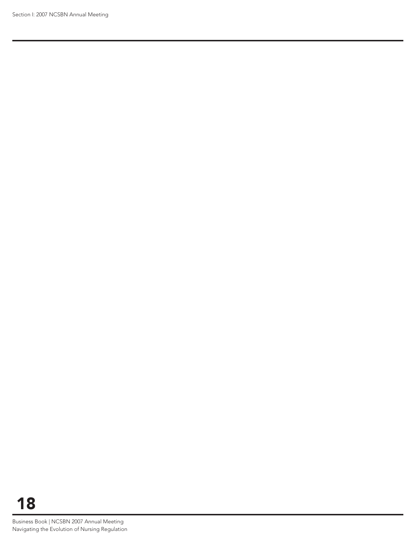# **18**

Business Book | NCSBN 2007 Annual Meeting Navigating the Evolution of Nursing Regulation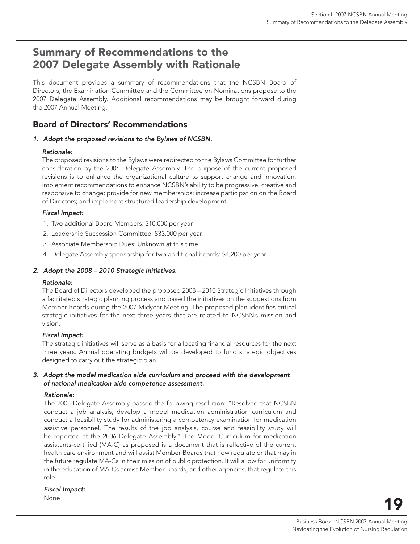# <span id="page-19-0"></span>**Summary of Recommendations to the 2007 Delegate Assembly with Rationale**

This document provides a summary of recommendations that the NCSBN Board of Directors, the Examination Committee and the Committee on Nominations propose to the 2007 Delegate Assembly. Additional recommendations may be brought forward during the 2007 Annual Meeting.

# **Board of Directors' Recommendations**

# *1. Adopt the proposed revisions to the Bylaws of NCSBN.*

### *Rationale:*

The proposed revisions to the Bylaws were redirected to the Bylaws Committee for further consideration by the 2006 Delegate Assembly. The purpose of the current proposed revisions is to enhance the organizational culture to support change and innovation; implement recommendations to enhance NCSBN's ability to be progressive, creative and responsive to change; provide for new memberships; increase participation on the Board of Directors; and implement structured leadership development.

# *Fiscal Impact:*

- 1. Two additional Board Members: \$10,000 per year.
- 2. Leadership Succession Committee: \$33,000 per year.
- 3. Associate Membership Dues: Unknown at this time.
- 4. Delegate Assembly sponsorship for two additional boards: \$4,200 per year.

### *2. Adopt the 2008* – *2010 Strategic Initiatives.*

### *Rationale:*

The Board of Directors developed the proposed 2008 – 2010 Strategic Initiatives through a facilitated strategic planning process and based the initiatives on the suggestions from Member Boards during the 2007 Midyear Meeting. The proposed plan identifies critical strategic initiatives for the next three years that are related to NCSBN's mission and vision.

### *Fiscal Impact:*

The strategic initiatives will serve as a basis for allocating financial resources for the next three years. Annual operating budgets will be developed to fund strategic objectives designed to carry out the strategic plan.

### *3. Adopt the model medication aide curriculum and proceed with the development of national medication aide competence assessment.*

# *Rationale:*

The 2005 Delegate Assembly passed the following resolution: "Resolved that NCSBN conduct a job analysis, develop a model medication administration curriculum and conduct a feasibility study for administering a competency examination for medication assistive personnel. The results of the job analysis, course and feasibility study will be reported at the 2006 Delegate Assembly." The Model Curriculum for medication assistants-certified (MA-C) as proposed is a document that is reflective of the current health care environment and will assist Member Boards that now regulate or that may in the future regulate MA-Cs in their mission of public protection. It will allow for uniformity in the education of MA-Cs across Member Boards, and other agencies, that regulate this role.

### *Fiscal Impact:*

None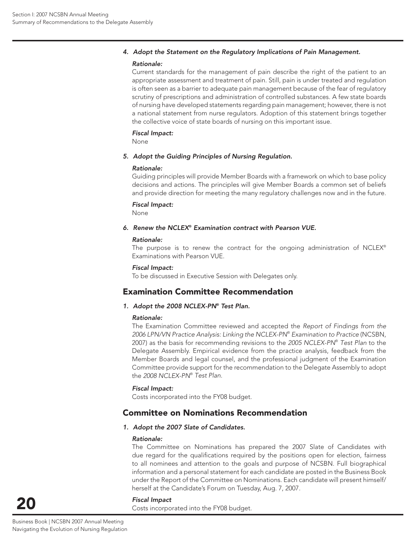### *4. Adopt the Statement on the Regulatory Implications of Pain Management.*

### *Rationale:*

Current standards for the management of pain describe the right of the patient to an appropriate assessment and treatment of pain. Still, pain is under treated and regulation is often seen as a barrier to adequate pain management because of the fear of regulatory scrutiny of prescriptions and administration of controlled substances. A few state boards of nursing have developed statements regarding pain management; however, there is not a national statement from nurse regulators. Adoption of this statement brings together the collective voice of state boards of nursing on this important issue.

### *Fiscal Impact:*

None

### *5. Adopt the Guiding Principles of Nursing Regulation.*

### *Rationale:*

Guiding principles will provide Member Boards with a framework on which to base policy decisions and actions. The principles will give Member Boards a common set of beliefs and provide direction for meeting the many regulatory challenges now and in the future.

### *Fiscal Impact:*

None

### *6. Renew the NCLEX***®**  *Examination contract with Pearson VUE.*

### *Rationale:*

The purpose is to renew the contract for the ongoing administration of NCLEX® Examinations with Pearson VUE.

### *Fiscal Impact:*

To be discussed in Executive Session with Delegates only.

# **Examination Committee Recommendation**

# *1. Adopt the 2008 NCLEX-PN***®**  *Test Plan.*

# *Rationale:*

The Examination Committee reviewed and accepted the Report of Findings from the 2006 LPN/VN Practice Analysis: Linking the NCLEX-PN® Examination to Practice (NCSBN, 2007) as the basis for recommending revisions to the 2005 NCLEX-PN® Test Plan to the Delegate Assembly. Empirical evidence from the practice analysis, feedback from the Member Boards and legal counsel, and the professional judgment of the Examination Committee provide support for the recommendation to the Delegate Assembly to adopt the 2008 NCLEX-PN® Test Plan.

### *Fiscal Impact:*

Costs incorporated into the FY08 budget.

# **Committee on Nominations Recommendation**

*1. Adopt the 2007 Slate of Candidates.*

# *Rationale:*

The Committee on Nominations has prepared the 2007 Slate of Candidates with due regard for the qualifications required by the positions open for election, fairness to all nominees and attention to the goals and purpose of NCSBN. Full biographical information and a personal statement for each candidate are posted in the Business Book under the Report of the Committee on Nominations. Each candidate will present himself/ herself at the Candidate's Forum on Tuesday, Aug. 7, 2007.

# *Fiscal Impact*

Costs incorporated into the FY08 budget.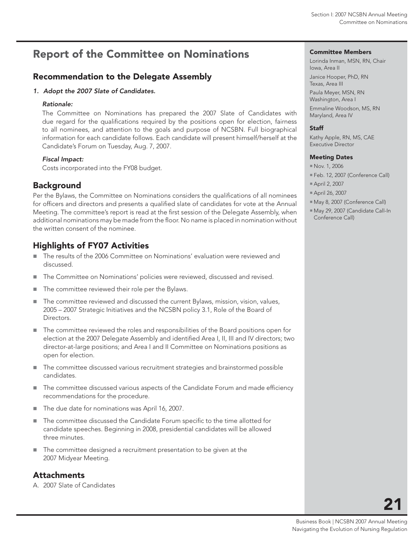# <span id="page-21-0"></span>**Report of the Committee on Nominations**

# **Recommendation to the Delegate Assembly**

### *1. Adopt the 2007 Slate of Candidates.*

### *Rationale:*

The Committee on Nominations has prepared the 2007 Slate of Candidates with due regard for the qualifications required by the positions open for election, fairness to all nominees, and attention to the goals and purpose of NCSBN. Full biographical information for each candidate follows. Each candidate will present himself/herself at the Candidate's Forum on Tuesday, Aug. 7, 2007.

### *Fiscal Impact:*

Costs incorporated into the FY08 budget.

# **Background**

Per the Bylaws, the Committee on Nominations considers the qualifications of all nominees for officers and directors and presents a qualified slate of candidates for vote at the Annual Meeting. The committee's report is read at the first session of the Delegate Assembly, when additional nominations may be made from the floor. No name is placed in nomination without the written consent of the nominee.

# **Highlights of FY07 Activities**

- The results of the 2006 Committee on Nominations' evaluation were reviewed and discussed.
- The Committee on Nominations' policies were reviewed, discussed and revised.
- The committee reviewed their role per the Bylaws.
- The committee reviewed and discussed the current Bylaws, mission, vision, values, 2005 – 2007 Strategic Initiatives and the NCSBN policy 3.1, Role of the Board of Directors.
- The committee reviewed the roles and responsibilities of the Board positions open for election at the 2007 Delegate Assembly and identified Area I, II, III and IV directors; two director-at-large positions; and Area I and II Committee on Nominations positions as open for election.
- The committee discussed various recruitment strategies and brainstormed possible candidates.
- The committee discussed various aspects of the Candidate Forum and made efficiency recommendations for the procedure.
- The due date for nominations was April 16, 2007.
- The committee discussed the Candidate Forum specific to the time allotted for candidate speeches. Beginning in 2008, presidential candidates will be allowed three minutes.
- The committee designed a recruitment presentation to be given at the 2007 Midyear Meeting.

# **Attachments**

A. 2007 Slate of Candidates

#### **Committee Members**

Lorinda Inman, MSN, RN, Chair Iowa, Area II

Janice Hooper, PhD, RN Texas, Area III

Paula Meyer, MSN, RN Washington, Area I

Emmaline Woodson, MS, RN Maryland, Area IV

#### **Staff**

Kathy Apple, RN, MS, CAE Executive Director

#### **Meeting Dates**

- Nov. 1, 2006
- Feb. 12, 2007 (Conference Call)
- April 2, 2007
- April 26, 2007
- May 8, 2007 (Conference Call)
- May 29, 2007 (Candidate Call-In Conference Call)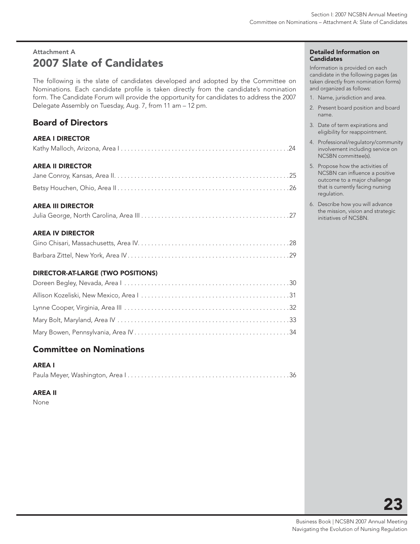# <span id="page-23-0"></span>**Attachment A 2007 Slate of Candidates**

The following is the slate of candidates developed and adopted by the Committee on Nominations. Each candidate profile is taken directly from the candidate's nomination form. The Candidate Forum will provide the opportunity for candidates to address the 2007 Delegate Assembly on Tuesday, Aug. 7, from 11 am – 12 pm.

# **Board of Directors**

# **AREA I DIRECTOR**

| <b>AREA II DIRECTOR</b>  |  |
|--------------------------|--|
|                          |  |
|                          |  |
| <b>AREA III DIRECTOR</b> |  |
|                          |  |

# **AREA IV DIRECTOR**

# **DIRECTOR-AT-LARGE (TWO POSITIONS)**

# **Committee on Nominations**

| <b>AREAI</b> |  |
|--------------|--|
|              |  |

# **AREA II**

None

#### **Detailed Information on Candidates**

Information is provided on each candidate in the following pages (as taken directly from nomination forms) and organized as follows:

- 1. Name, jurisdiction and area.
- 2. Present board position and board name.
- 3. Date of term expirations and eligibility for reappointment.
- 4. Professional/regulatory/community involvement including service on NCSBN committee(s).
- 5. Propose how the activities of NCSBN can influence a positive outcome to a major challenge that is currently facing nursing regulation.
- 6. Describe how you will advance the mission, vision and strategic initiatives of NCSBN.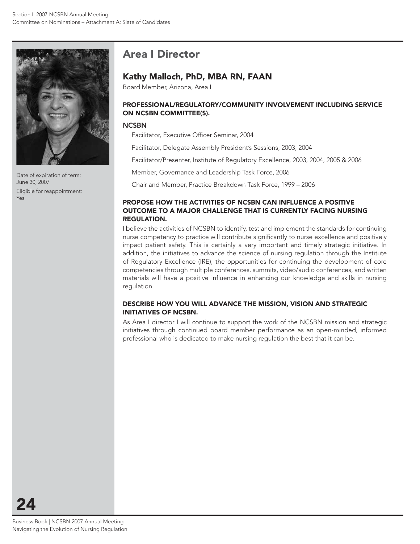![](_page_24_Picture_1.jpeg)

Date of expiration of term: June 30, 2007 Eligible for reappointment: Yes

# **Area I Director**

# **Kathy Malloch, PhD, MBA RN, FAAN**

Board Member, Arizona, Area I

# **PROFESSIONAL/REGULATORY/COMMUNITY INVOLVEMENT INCLUDING SERVICE ON NCSBN COMMITTEE(S).**

### **NCSBN**

Facilitator, Executive Officer Seminar, 2004

Facilitator, Delegate Assembly President's Sessions, 2003, 2004

Facilitator/Presenter, Institute of Regulatory Excellence, 2003, 2004, 2005 & 2006

Member, Governance and Leadership Task Force, 2006

Chair and Member, Practice Breakdown Task Force, 1999 – 2006

# **PROPOSE HOW THE ACTIVITIES OF NCSBN CAN INFLUENCE A POSITIVE OUTCOME TO A MAJOR CHALLENGE THAT IS CURRENTLY FACING NURSING REGULATION.**

I believe the activities of NCSBN to identify, test and implement the standards for continuing nurse competency to practice will contribute significantly to nurse excellence and positively impact patient safety. This is certainly a very important and timely strategic initiative. In addition, the initiatives to advance the science of nursing regulation through the Institute of Regulatory Excellence (IRE), the opportunities for continuing the development of core competencies through multiple conferences, summits, video/audio conferences, and written materials will have a positive influence in enhancing our knowledge and skills in nursing regulation.

# **DESCRIBE HOW YOU WILL ADVANCE THE MISSION, VISION AND STRATEGIC INITIATIVES OF NCSBN.**

As Area I director I will continue to support the work of the NCSBN mission and strategic initiatives through continued board member performance as an open-minded, informed professional who is dedicated to make nursing regulation the best that it can be.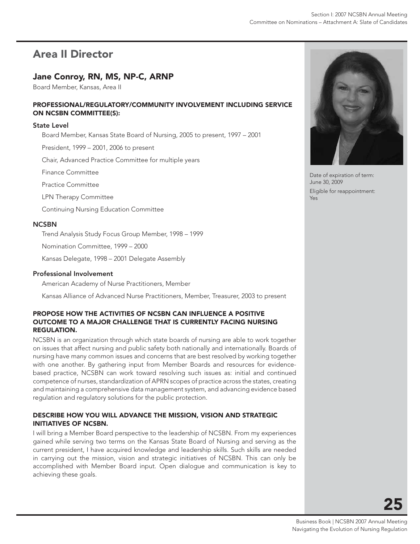# **Area II Director**

# **Jane Conroy, RN, MS, NP-C, ARNP**

Board Member, Kansas, Area II

# **PROFESSIONAL/REGULATORY/COMMUNITY INVOLVEMENT INCLUDING SERVICE ON NCSBN COMMITTEE(S):**

### **State Level**

Board Member, Kansas State Board of Nursing, 2005 to present, 1997 – 2001

President, 1999 – 2001, 2006 to present

Chair, Advanced Practice Committee for multiple years

Finance Committee

Practice Committee

LPN Therapy Committee

Continuing Nursing Education Committee

### **NCSBN**

Trend Analysis Study Focus Group Member, 1998 – 1999

Nomination Committee, 1999 – 2000

Kansas Delegate, 1998 – 2001 Delegate Assembly

### **Professional Involvement**

American Academy of Nurse Practitioners, Member

Kansas Alliance of Advanced Nurse Practitioners, Member, Treasurer, 2003 to present

### **PROPOSE HOW THE ACTIVITIES OF NCSBN CAN INFLUENCE A POSITIVE OUTCOME TO A MAJOR CHALLENGE THAT IS CURRENTLY FACING NURSING REGULATION.**

NCSBN is an organization through which state boards of nursing are able to work together on issues that affect nursing and public safety both nationally and internationally. Boards of nursing have many common issues and concerns that are best resolved by working together with one another. By gathering input from Member Boards and resources for evidencebased practice, NCSBN can work toward resolving such issues as: initial and continued competence of nurses, standardization of APRN scopes of practice across the states, creating and maintaining a comprehensive data management system, and advancing evidence based regulation and regulatory solutions for the public protection.

# **DESCRIBE HOW YOU WILL ADVANCE THE MISSION, VISION AND STRATEGIC INITIATIVES OF NCSBN.**

I will bring a Member Board perspective to the leadership of NCSBN. From my experiences gained while serving two terms on the Kansas State Board of Nursing and serving as the current president, I have acquired knowledge and leadership skills. Such skills are needed in carrying out the mission, vision and strategic initiatives of NCSBN. This can only be accomplished with Member Board input. Open dialogue and communication is key to achieving these goals.

![](_page_25_Picture_24.jpeg)

Date of expiration of term: June 30, 2009 Eligible for reappointment: Yes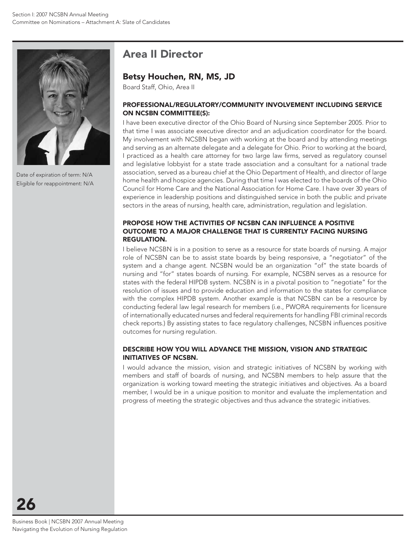![](_page_26_Picture_1.jpeg)

Date of expiration of term: N/A Eligible for reappointment: N/A

# **Area II Director**

# **Betsy Houchen, RN, MS, JD**

Board Staff, Ohio, Area II

# **PROFESSIONAL/REGULATORY/COMMUNITY INVOLVEMENT INCLUDING SERVICE ON NCSBN COMMITTEE(S):**

I have been executive director of the Ohio Board of Nursing since September 2005. Prior to that time I was associate executive director and an adjudication coordinator for the board. My involvement with NCSBN began with working at the board and by attending meetings and serving as an alternate delegate and a delegate for Ohio. Prior to working at the board, I practiced as a health care attorney for two large law firms, served as regulatory counsel and legislative lobbyist for a state trade association and a consultant for a national trade association, served as a bureau chief at the Ohio Department of Health, and director of large home health and hospice agencies. During that time I was elected to the boards of the Ohio Council for Home Care and the National Association for Home Care. I have over 30 years of experience in leadership positions and distinguished service in both the public and private sectors in the areas of nursing, health care, administration, regulation and legislation.

# **PROPOSE HOW THE ACTIVITIES OF NCSBN CAN INFLUENCE A POSITIVE OUTCOME TO A MAJOR CHALLENGE THAT IS CURRENTLY FACING NURSING REGULATION.**

I believe NCSBN is in a position to serve as a resource for state boards of nursing. A major role of NCSBN can be to assist state boards by being responsive, a "negotiator" of the system and a change agent. NCSBN would be an organization "of" the state boards of nursing and "for" states boards of nursing. For example, NCSBN serves as a resource for states with the federal HIPDB system. NCSBN is in a pivotal position to "negotiate" for the resolution of issues and to provide education and information to the states for compliance with the complex HIPDB system. Another example is that NCSBN can be a resource by conducting federal law legal research for members (i.e., PWORA requirements for licensure of internationally educated nurses and federal requirements for handling FBI criminal records check reports.) By assisting states to face regulatory challenges, NCSBN influences positive outcomes for nursing regulation.

# **DESCRIBE HOW YOU WILL ADVANCE THE MISSION, VISION AND STRATEGIC INITIATIVES OF NCSBN.**

I would advance the mission, vision and strategic initiatives of NCSBN by working with members and staff of boards of nursing, and NCSBN members to help assure that the organization is working toward meeting the strategic initiatives and objectives. As a board member, I would be in a unique position to monitor and evaluate the implementation and progress of meeting the strategic objectives and thus advance the strategic initiatives.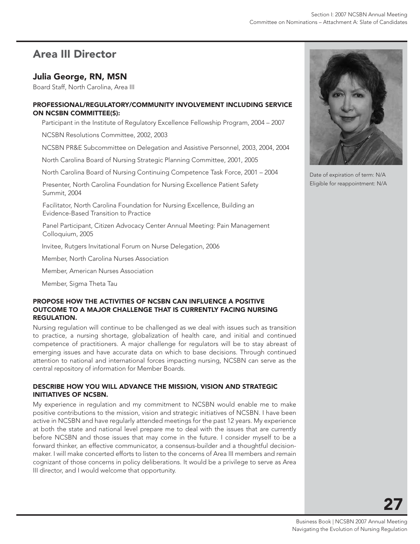# **Area III Director**

# **Julia George, RN, MSN**

Board Staff, North Carolina, Area III

# **PROFESSIONAL/REGULATORY/COMMUNITY INVOLVEMENT INCLUDING SERVICE ON NCSBN COMMITTEE(S):**

Participant in the Institute of Regulatory Excellence Fellowship Program, 2004 – 2007

NCSBN Resolutions Committee, 2002, 2003

NCSBN PR&E Subcommittee on Delegation and Assistive Personnel, 2003, 2004, 2004

North Carolina Board of Nursing Strategic Planning Committee, 2001, 2005

North Carolina Board of Nursing Continuing Competence Task Force, 2001 – 2004

Presenter, North Carolina Foundation for Nursing Excellence Patient Safety Summit, 2004

Facilitator, North Carolina Foundation for Nursing Excellence, Building an Evidence-Based Transition to Practice

Panel Participant, Citizen Advocacy Center Annual Meeting: Pain Management Colloquium, 2005

Invitee, Rutgers Invitational Forum on Nurse Delegation, 2006

Member, North Carolina Nurses Association

Member, American Nurses Association

Member, Sigma Theta Tau

### **PROPOSE HOW THE ACTIVITIES OF NCSBN CAN INFLUENCE A POSITIVE OUTCOME TO A MAJOR CHALLENGE THAT IS CURRENTLY FACING NURSING REGULATION.**

Nursing regulation will continue to be challenged as we deal with issues such as transition to practice, a nursing shortage, globalization of health care, and initial and continued competence of practitioners. A major challenge for regulators will be to stay abreast of emerging issues and have accurate data on which to base decisions. Through continued attention to national and international forces impacting nursing, NCSBN can serve as the central repository of information for Member Boards.

# **DESCRIBE HOW YOU WILL ADVANCE THE MISSION, VISION AND STRATEGIC INITIATIVES OF NCSBN.**

My experience in regulation and my commitment to NCSBN would enable me to make positive contributions to the mission, vision and strategic initiatives of NCSBN. I have been active in NCSBN and have regularly attended meetings for the past 12 years. My experience at both the state and national level prepare me to deal with the issues that are currently before NCSBN and those issues that may come in the future. I consider myself to be a forward thinker, an effective communicator, a consensus-builder and a thoughtful decisionmaker. I will make concerted efforts to listen to the concerns of Area III members and remain cognizant of those concerns in policy deliberations. It would be a privilege to serve as Area III director, and I would welcome that opportunity.

![](_page_27_Picture_21.jpeg)

Date of expiration of term: N/A Eligible for reappointment: N/A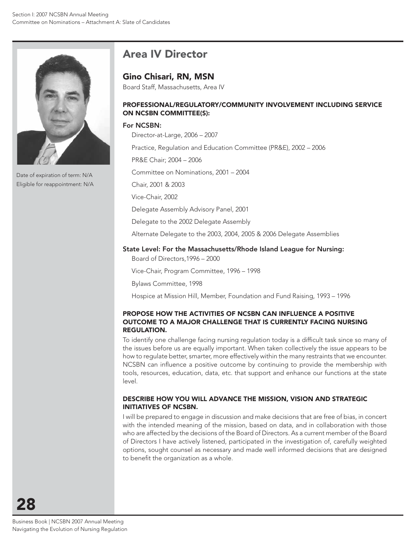![](_page_28_Picture_1.jpeg)

Date of expiration of term: N/A Eligible for reappointment: N/A

# **Area IV Director**

# **Gino Chisari, RN, MSN**

Board Staff, Massachusetts, Area IV

# **PROFESSIONAL/REGULATORY/COMMUNITY INVOLVEMENT INCLUDING SERVICE ON NCSBN COMMITTEE(S):**

### **For NCSBN:**

Director-at-Large, 2006 – 2007

Practice, Regulation and Education Committee (PR&E), 2002 – 2006

PR&E Chair; 2004 – 2006

Committee on Nominations, 2001 – 2004

Chair, 2001 & 2003

Vice-Chair, 2002

Delegate Assembly Advisory Panel, 2001

Delegate to the 2002 Delegate Assembly

Alternate Delegate to the 2003, 2004, 2005 & 2006 Delegate Assemblies

# **State Level: For the Massachusetts/Rhode Island League for Nursing:**

Board of Directors,1996 – 2000

Vice-Chair, Program Committee, 1996 – 1998

Bylaws Committee, 1998

Hospice at Mission Hill, Member, Foundation and Fund Raising, 1993 – 1996

# **PROPOSE HOW THE ACTIVITIES OF NCSBN CAN INFLUENCE A POSITIVE OUTCOME TO A MAJOR CHALLENGE THAT IS CURRENTLY FACING NURSING REGULATION.**

To identify one challenge facing nursing regulation today is a difficult task since so many of the issues before us are equally important. When taken collectively the issue appears to be how to regulate better, smarter, more effectively within the many restraints that we encounter. NCSBN can influence a positive outcome by continuing to provide the membership with tools, resources, education, data, etc. that support and enhance our functions at the state level.

# **DESCRIBE HOW YOU WILL ADVANCE THE MISSION, VISION AND STRATEGIC INITIATIVES OF NCSBN.**

I will be prepared to engage in discussion and make decisions that are free of bias, in concert with the intended meaning of the mission, based on data, and in collaboration with those who are affected by the decisions of the Board of Directors. As a current member of the Board of Directors I have actively listened, participated in the investigation of, carefully weighted options, sought counsel as necessary and made well informed decisions that are designed to benefit the organization as a whole.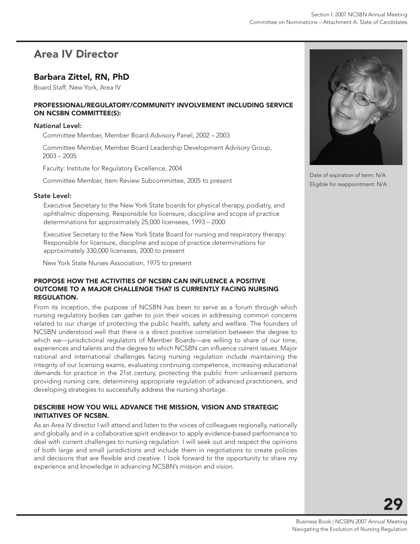# **Area IV Director**

# **Barbara Zittel, RN, PhD**

Board Staff, New York, Area IV

# **PROFESSIONAL/REGULATORY/COMMUNITY INVOLVEMENT INCLUDING SERVICE ON NCSBN COMMITTEE(S):**

### **National Level:**

Committee Member, Member Board Advisory Panel, 2002 – 2003

Committee Member, Member Board Leadership Development Advisory Group, 2003 – 2005

Faculty: Institute for Regulatory Excellence, 2004

Committee Member, Item Review Subcommittee, 2005 to present

### **State Level:**

Executive Secretary to the New York State boards for physical therapy, podiatry, and ophthalmic dispensing. Responsible for licensure, discipline and scope of practice determinations for approximately 25,000 licensees, 1993 – 2000

Executive Secretary to the New York State Board for nursing and respiratory therapy: Responsible for licensure, discipline and scope of practice determinations for approximately 330,000 licensees, 2000 to present

New York State Nurses Association, 1975 to present

### **PROPOSE HOW THE ACTIVITIES OF NCSBN CAN INFLUENCE A POSITIVE OUTCOME TO A MAJOR CHALLENGE THAT IS CURRENTLY FACING NURSING REGULATION.**

From its inception, the purpose of NCSBN has been to serve as a forum through which nursing regulatory bodies can gather to join their voices in addressing common concerns related to our charge of protecting the public health, safety and welfare. The founders of NCSBN understood well that there is a direct positive correlation between the degree to which we—jurisdictional regulators of Member Boards—are willing to share of our time, experiences and talents and the degree to which NCSBN can influence current issues. Major national and international challenges facing nursing regulation include maintaining the integrity of our licensing exams, evaluating continuing competence, increasing educational demands for practice in the 21st century, protecting the public from unlicensed persons providing nursing care, determining appropriate regulation of advanced practitioners, and developing strategies to successfully address the nursing shortage.

# **DESCRIBE HOW YOU WILL ADVANCE THE MISSION, VISION AND STRATEGIC INITIATIVES OF NCSBN.**

As an Area IV director I will attend and listen to the voices of colleagues regionally, nationally and globally and in a collaborative spirit endeavor to apply evidence-based performance to deal with current challenges to nursing regulation. I will seek out and respect the opinions of both large and small jurisdictions and include them in negotiations to create policies and decisions that are flexible and creative. I look forward to the opportunity to share my experience and knowledge in advancing NCSBN's mission and vision.

![](_page_29_Picture_18.jpeg)

Date of expiration of term: N/A Eligible for reappointment: N/A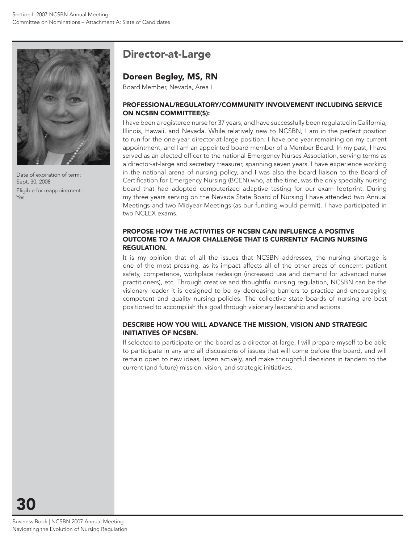![](_page_30_Picture_1.jpeg)

Date of expiration of term: Sept. 30, 2008 Eligible for reappointment: Yes

# **Doreen Begley, MS, RN**

Board Member, Nevada, Area I

# **PROFESSIONAL/REGULATORY/COMMUNITY INVOLVEMENT INCLUDING SERVICE ON NCSBN COMMITTEE(S):**

I have been a registered nurse for 37 years, and have successfully been regulated in California, Illinois, Hawaii, and Nevada. While relatively new to NCSBN, I am in the perfect position to run for the one-year director-at-large position. I have one year remaining on my current appointment, and I am an appointed board member of a Member Board. In my past, I have served as an elected officer to the national Emergency Nurses Association, serving terms as a director-at-large and secretary treasurer, spanning seven years. I have experience working in the national arena of nursing policy, and I was also the board liaison to the Board of Certification for Emergency Nursing (BCEN) who, at the time, was the only specialty nursing board that had adopted computerized adaptive testing for our exam footprint. During my three years serving on the Nevada State Board of Nursing I have attended two Annual Meetings and two Midyear Meetings (as our funding would permit). I have participated in two NCLEX exams.

### **PROPOSE HOW THE ACTIVITIES OF NCSBN CAN INFLUENCE A POSITIVE OUTCOME TO A MAJOR CHALLENGE THAT IS CURRENTLY FACING NURSING REGULATION.**

It is my opinion that of all the issues that NCSBN addresses, the nursing shortage is one of the most pressing, as its impact affects all of the other areas of concern: patient safety, competence, workplace redesign (increased use and demand for advanced nurse practitioners), etc. Through creative and thoughtful nursing regulation, NCSBN can be the visionary leader it is designed to be by decreasing barriers to practice and encouraging competent and quality nursing policies. The collective state boards of nursing are best positioned to accomplish this goal through visionary leadership and actions.

# **DESCRIBE HOW YOU WILL ADVANCE THE MISSION, VISION AND STRATEGIC INITIATIVES OF NCSBN.**

If selected to participate on the board as a director-at-large, I will prepare myself to be able to participate in any and all discussions of issues that will come before the board, and will remain open to new ideas, listen actively, and make thoughtful decisions in tandem to the current (and future) mission, vision, and strategic initiatives.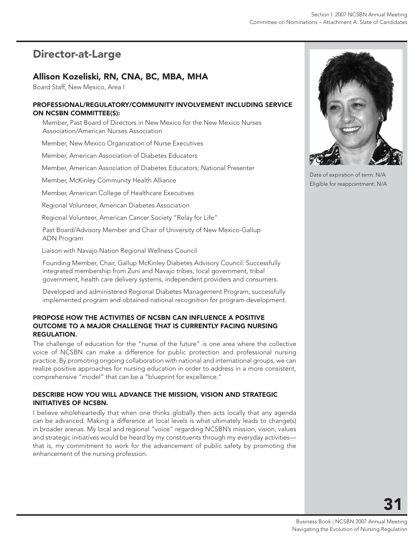# **Allison Kozeliski, RN, CNA, BC, MBA, MHA**

Board Staff, New Mexico, Area I

# **PROFESSIONAL/REGULATORY/COMMUNITY INVOLVEMENT INCLUDING SERVICE ON NCSBN COMMITTEE(S):**

Member, Past Board of Directors in New Mexico for the New Mexico Nurses Association/American Nurses Association

Member, New Mexico Organization of Nurse Executives

Member, American Association of Diabetes Educators

Member, American Association of Diabetes Educators; National Presenter

Member, McKinley Community Health Alliance

Member, American College of Healthcare Executives

Regional Volunteer, American Diabetes Association

Regional Volunteer, American Cancer Society "Relay for Life"

Past Board/Advisory Member and Chair of University of New Mexico-Gallup ADN Program

Liaison with Navajo Nation Regional Wellness Council

Founding Member, Chair, Gallup McKinley Diabetes Advisory Council: Successfully integrated membership from Zuni and Navajo tribes, local government, tribal government, health care delivery systems, independent providers and consumers.

Developed and administered Regional Diabetes Management Program, successfully implemented program and obtained national recognition for program development.

### **PROPOSE HOW THE ACTIVITIES OF NCSBN CAN INFLUENCE A POSITIVE OUTCOME TO A MAJOR CHALLENGE THAT IS CURRENTLY FACING NURSING REGULATION.**

The challenge of education for the "nurse of the future" is one area where the collective voice of NCSBN can make a difference for public protection and professional nursing practice. By promoting ongoing collaboration with national and international groups, we can realize positive approaches for nursing education in order to address in a more consistent, comprehensive "model" that can be a "blueprint for excellence."

# **DESCRIBE HOW YOU WILL ADVANCE THE MISSION, VISION AND STRATEGIC INITIATIVES OF NCSBN.**

I believe wholeheartedly that when one thinks globally then acts locally that any agenda can be advanced. Making a difference at local levels is what ultimately leads to change(s) in broader arenas. My local and regional "voice" regarding NCSBN's mission, vision, values and strategic initiatives would be heard by my constituents through my everyday activities that is, my commitment to work for the advancement of public safety by promoting the enhancement of the nursing profession.

![](_page_31_Picture_21.jpeg)

Date of expiration of term: N/A Eligible for reappointment: N/A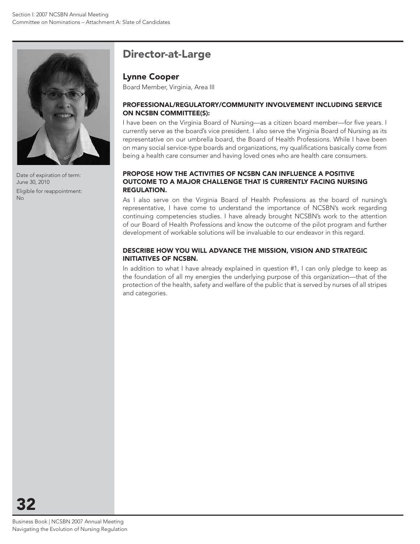![](_page_32_Picture_1.jpeg)

Date of expiration of term: June 30, 2010 Eligible for reappointment: No

# **Lynne Cooper**

Board Member, Virginia, Area III

# **PROFESSIONAL/REGULATORY/COMMUNITY INVOLVEMENT INCLUDING SERVICE ON NCSBN COMMITTEE(S):**

I have been on the Virginia Board of Nursing—as a citizen board member—for five years. I currently serve as the board's vice president. I also serve the Virginia Board of Nursing as its representative on our umbrella board, the Board of Health Professions. While I have been on many social service-type boards and organizations, my qualifications basically come from being a health care consumer and having loved ones who are health care consumers.

### **PROPOSE HOW THE ACTIVITIES OF NCSBN CAN INFLUENCE A POSITIVE OUTCOME TO A MAJOR CHALLENGE THAT IS CURRENTLY FACING NURSING REGULATION.**

As I also serve on the Virginia Board of Health Professions as the board of nursing's representative, I have come to understand the importance of NCSBN's work regarding continuing competencies studies. I have already brought NCSBN's work to the attention of our Board of Health Professions and know the outcome of the pilot program and further development of workable solutions will be invaluable to our endeavor in this regard.

# **DESCRIBE HOW YOU WILL ADVANCE THE MISSION, VISION AND STRATEGIC INITIATIVES OF NCSBN.**

In addition to what I have already explained in question #1, I can only pledge to keep as the foundation of all my energies the underlying purpose of this organization—that of the protection of the health, safety and welfare of the public that is served by nurses of all stripes and categories.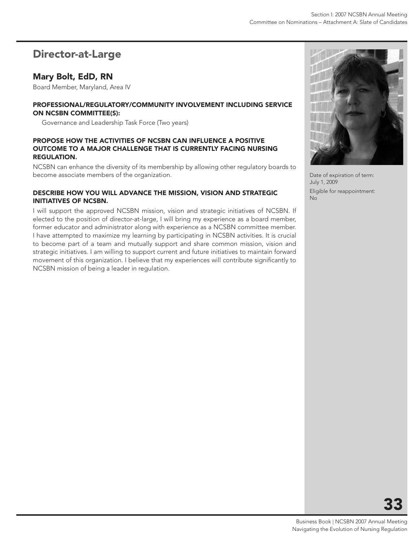# **Mary Bolt, EdD, RN**

Board Member, Maryland, Area IV

### **PROFESSIONAL/REGULATORY/COMMUNITY INVOLVEMENT INCLUDING SERVICE ON NCSBN COMMITTEE(S):**

Governance and Leadership Task Force (Two years)

### **PROPOSE HOW THE ACTIVITIES OF NCSBN CAN INFLUENCE A POSITIVE OUTCOME TO A MAJOR CHALLENGE THAT IS CURRENTLY FACING NURSING REGULATION.**

NCSBN can enhance the diversity of its membership by allowing other regulatory boards to become associate members of the organization.

# **DESCRIBE HOW YOU WILL ADVANCE THE MISSION, VISION AND STRATEGIC INITIATIVES OF NCSBN.**

I will support the approved NCSBN mission, vision and strategic initiatives of NCSBN. If elected to the position of director-at-large, I will bring my experience as a board member, former educator and administrator along with experience as a NCSBN committee member. I have attempted to maximize my learning by participating in NCSBN activities. It is crucial to become part of a team and mutually support and share common mission, vision and strategic initiatives. I am willing to support current and future initiatives to maintain forward movement of this organization. I believe that my experiences will contribute significantly to NCSBN mission of being a leader in regulation.

![](_page_33_Picture_10.jpeg)

Date of expiration of term: July 1, 2009 Eligible for reappointment: No

![](_page_33_Picture_12.jpeg)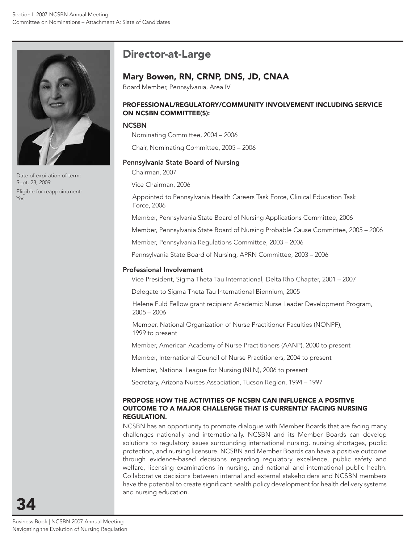![](_page_34_Picture_1.jpeg)

Date of expiration of term: Sept. 23, 2009 Eligible for reappointment: Yes

# **Mary Bowen, RN, CRNP, DNS, JD, CNAA**

Board Member, Pennsylvania, Area IV

# **PROFESSIONAL/REGULATORY/COMMUNITY INVOLVEMENT INCLUDING SERVICE ON NCSBN COMMITTEE(S):**

### **NCSBN**

Nominating Committee, 2004 – 2006

Chair, Nominating Committee, 2005 – 2006

# **Pennsylvania State Board of Nursing**

Chairman, 2007

Vice Chairman, 2006

Appointed to Pennsylvania Health Careers Task Force, Clinical Education Task Force, 2006

Member, Pennsylvania State Board of Nursing Applications Committee, 2006

Member, Pennsylvania State Board of Nursing Probable Cause Committee, 2005 – 2006

Member, Pennsylvania Regulations Committee, 2003 – 2006

Pennsylvania State Board of Nursing, APRN Committee, 2003 – 2006

# **Professional Involvement**

Vice President, Sigma Theta Tau International, Delta Rho Chapter, 2001 – 2007

Delegate to Sigma Theta Tau International Biennium, 2005

Helene Fuld Fellow grant recipient Academic Nurse Leader Development Program, 2005 – 2006

Member, National Organization of Nurse Practitioner Faculties (NONPF), 1999 to present

Member, American Academy of Nurse Practitioners (AANP), 2000 to present

Member, International Council of Nurse Practitioners, 2004 to present

Member, National League for Nursing (NLN), 2006 to present

Secretary, Arizona Nurses Association, Tucson Region, 1994 – 1997

# **PROPOSE HOW THE ACTIVITIES OF NCSBN CAN INFLUENCE A POSITIVE OUTCOME TO A MAJOR CHALLENGE THAT IS CURRENTLY FACING NURSING REGULATION.**

NCSBN has an opportunity to promote dialogue with Member Boards that are facing many challenges nationally and internationally. NCSBN and its Member Boards can develop solutions to regulatory issues surrounding international nursing, nursing shortages, public protection, and nursing licensure. NCSBN and Member Boards can have a positive outcome through evidence-based decisions regarding regulatory excellence, public safety and welfare, licensing examinations in nursing, and national and international public health. Collaborative decisions between internal and external stakeholders and NCSBN members have the potential to create significant health policy development for health delivery systems and nursing education.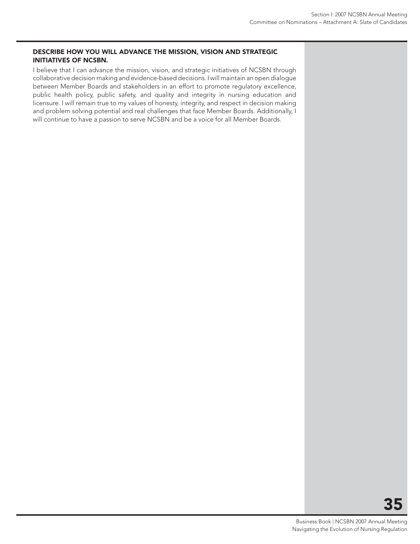# **DESCRIBE HOW YOU WILL ADVANCE THE MISSION, VISION AND STRATEGIC INITIATIVES OF NCSBN.**

I believe that I can advance the mission, vision, and strategic initiatives of NCSBN through collaborative decision making and evidence-based decisions. I will maintain an open dialogue between Member Boards and stakeholders in an effort to promote regulatory excellence, public health policy, public safety, and quality and integrity in nursing education and licensure. I will remain true to my values of honesty, integrity, and respect in decision making and problem solving potential and real challenges that face Member Boards. Additionally, I will continue to have a passion to serve NCSBN and be a voice for all Member Boards.

![](_page_35_Picture_3.jpeg)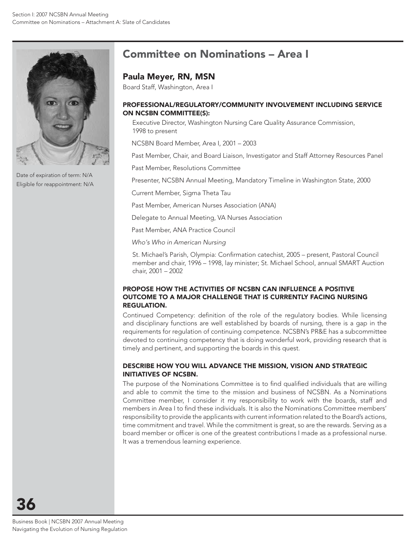![](_page_36_Picture_1.jpeg)

Date of expiration of term: N/A Eligible for reappointment: N/A

# **Committee on Nominations – Area I**

# **Paula Meyer, RN, MSN**

Board Staff, Washington, Area I

# **PROFESSIONAL/REGULATORY/COMMUNITY INVOLVEMENT INCLUDING SERVICE ON NCSBN COMMITTEE(S):**

Executive Director, Washington Nursing Care Quality Assurance Commission, 1998 to present

NCSBN Board Member, Area I, 2001 – 2003

Past Member, Chair, and Board Liaison, Investigator and Staff Attorney Resources Panel

Past Member, Resolutions Committee

Presenter, NCSBN Annual Meeting, Mandatory Timeline in Washington State, 2000

Current Member, Sigma Theta Tau

Past Member, American Nurses Association (ANA)

Delegate to Annual Meeting, VA Nurses Association

Past Member, ANA Practice Council

Who's Who in American Nursing

St. Michael's Parish, Olympia: Confirmation catechist, 2005 – present, Pastoral Council member and chair, 1996 – 1998, lay minister; St. Michael School, annual SMART Auction chair, 2001 – 2002

# **PROPOSE HOW THE ACTIVITIES OF NCSBN CAN INFLUENCE A POSITIVE OUTCOME TO A MAJOR CHALLENGE THAT IS CURRENTLY FACING NURSING REGULATION.**

Continued Competency: definition of the role of the regulatory bodies. While licensing and disciplinary functions are well established by boards of nursing, there is a gap in the requirements for regulation of continuing competence. NCSBN's PR&E has a subcommittee devoted to continuing competency that is doing wonderful work, providing research that is timely and pertinent, and supporting the boards in this quest.

# **DESCRIBE HOW YOU WILL ADVANCE THE MISSION, VISION AND STRATEGIC INITIATIVES OF NCSBN.**

The purpose of the Nominations Committee is to find qualified individuals that are willing and able to commit the time to the mission and business of NCSBN. As a Nominations Committee member, I consider it my responsibility to work with the boards, staff and members in Area I to find these individuals. It is also the Nominations Committee members' responsibility to provide the applicants with current information related to the Board's actions, time commitment and travel. While the commitment is great, so are the rewards. Serving as a board member or officer is one of the greatest contributions I made as a professional nurse. It was a tremendous learning experience.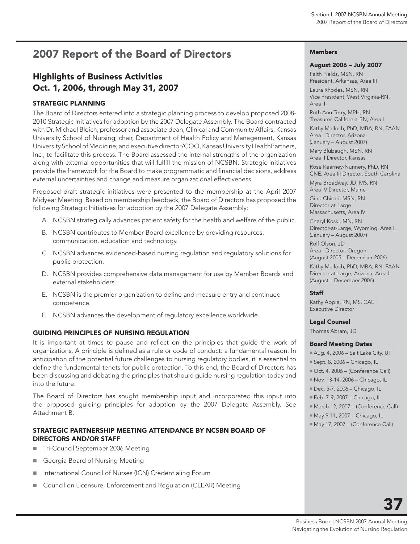# <span id="page-37-0"></span>**2007 Report of the Board of Directors**

# **Highlights of Business Activities Oct. 1, 2006, through May 31, 2007**

# **STRATEGIC PLANNING**

The Board of Directors entered into a strategic planning process to develop proposed 2008- 2010 Strategic Initiatives for adoption by the 2007 Delegate Assembly. The Board contracted with Dr. Michael Bleich, professor and associate dean, Clinical and Community Affairs, Kansas University School of Nursing; chair, Department of Health Policy and Management, Kansas University School of Medicine; and executive director/COO, Kansas University HealthPartners, Inc., to facilitate this process. The Board assessed the internal strengths of the organization along with external opportunities that will fulfill the mission of NCSBN. Strategic initiatives provide the framework for the Board to make programmatic and financial decisions, address external uncertainties and change and measure organizational effectiveness.

Proposed draft strategic initiatives were presented to the membership at the April 2007 Midyear Meeting. Based on membership feedback, the Board of Directors has proposed the following Strategic Initiatives for adoption by the 2007 Delegate Assembly:

- A. NCSBN strategically advances patient safety for the health and welfare of the public.
- B. NCSBN contributes to Member Board excellence by providing resources, communication, education and technology.
- C. NCSBN advances evidenced-based nursing regulation and regulatory solutions for public protection.
- D. NCSBN provides comprehensive data management for use by Member Boards and external stakeholders.
- E. NCSBN is the premier organization to define and measure entry and continued competence.
- F. NCSBN advances the development of regulatory excellence worldwide.

# **GUIDING PRINCIPLES OF NURSING REGULATION**

It is important at times to pause and reflect on the principles that guide the work of organizations. A principle is defined as a rule or code of conduct: a fundamental reason. In anticipation of the potential future challenges to nursing regulatory bodies, it is essential to define the fundamental tenets for public protection. To this end, the Board of Directors has been discussing and debating the principles that should guide nursing regulation today and into the future.

The Board of Directors has sought membership input and incorporated this input into the proposed guiding principles for adoption by the 2007 Delegate Assembly. See Attachment B.

### **STRATEGIC PARTNERSHIP MEETING ATTENDANCE BY NCSBN BOARD OF DIRECTORS AND/OR STAFF**

- Tri-Council September 2006 Meeting
- Georgia Board of Nursing Meeting
- International Council of Nurses (ICN) Credentialing Forum
- Council on Licensure, Enforcement and Regulation (CLEAR) Meeting

### **Members**

#### **August 2006 – July 2007**

Faith Fields, MSN, RN President, Arkansas, Area III Laura Rhodes, MSN, RN Vice President, West Virginia-RN, Area II

Ruth Ann Terry, MPH, RN Treasurer, California-RN, Area I Kathy Malloch, PhD, MBA, RN, FAAN

Area I Director, Arizona (January – August 2007)

Mary Blubaugh, MSN, RN Area II Director, Kansas

Rose Kearney-Nunnery, PhD, RN, CNE, Area III Director, South Carolina Myra Broadway, JD, MS, RN Area IV Director, Maine

Gino Chisari, MSN, RN Director-at-Large

Massachusetts, Area IV Cheryl Koski, MN, RN Director-at-Large, Wyoming, Area I,

(January – August 2007)

Rolf Olson, JD

Area I Director, Oregon (August 2005 – December 2006)

Kathy Malloch, PhD, MBA, RN, FAAN Director-at-Large, Arizona, Area I (August – December 2006)

### **Staff**

Kathy Apple, RN, MS, CAE Executive Director

### **Legal Counsel**

Thomas Abram, JD

### **Board Meeting Dates**

Aug. 4, 2006 – Salt Lake City, UT

- Sept. 8, 2006 Chicago, IL
- Oct. 4, 2006 (Conference Call)
- Nov. 13-14, 2006 Chicago, IL
- Dec. 5-7, 2006 Chicago, IL
- Feb. 7-9, 2007 Chicago, IL
- March 12, 2007 (Conference Call)
- May 9-11, 2007 Chicago, IL
- May 17, 2007 (Conference Call)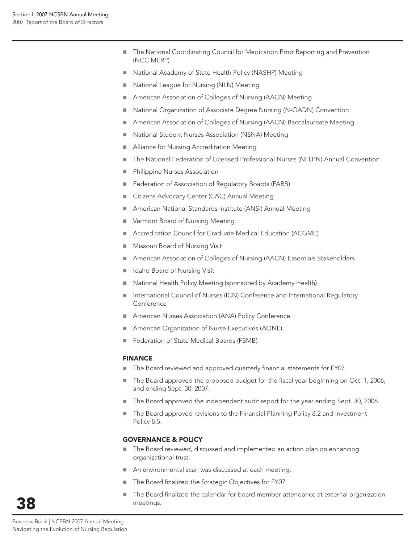- The National Coordinating Council for Medication Error Reporting and Prevention (NCC MERP)
- National Academy of State Health Policy (NASHP) Meeting
- National League for Nursing (NLN) Meeting
- American Association of Colleges of Nursing (AACN) Meeting
- National Organization of Associate Degree Nursing (N-OADN) Convention
- American Association of Colleges of Nursing (AACN) Baccalaureate Meeting
- National Student Nurses Association (NSNA) Meeting
- Alliance for Nursing Accreditation Meeting
- The National Federation of Licensed Professional Nurses (NFLPN) Annual Convention
- Philippine Nurses Association
- Federation of Association of Regulatory Boards (FARB)
- Citizens Advocacy Center (CAC) Annual Meeting
- American National Standards Institute (ANSI) Annual Meeting
- **No. 3** Vermont Board of Nursing Meeting
- Accreditation Council for Graduate Medical Education (ACGME)
- Missouri Board of Nursing Visit
- American Association of Colleges of Nursing (AACN) Essentials Stakeholders
- Idaho Board of Nursing Visit
- National Health Policy Meeting (sponsored by Academy Health)
- International Council of Nurses (ICN) Conference and International Regulatory **Conference**
- American Nurses Association (ANA) Policy Conference
- American Organization of Nurse Executives (AONE)
- Federation of State Medical Boards (FSMB)

### **FINANCE**

- The Board reviewed and approved quarterly financial statements for FY07.
- The Board approved the proposed budget for the fiscal year beginning on Oct. 1, 2006, and ending Sept. 30, 2007.
- The Board approved the independent audit report for the year ending Sept. 30, 2006.
- The Board approved revisions to the Financial Planning Policy 8.2 and Investment Policy 8.5.

# **GOVERNANCE & POLICY**

- The Board reviewed, discussed and implemented an action plan on enhancing organizational trust.
- An environmental scan was discussed at each meeting.
- The Board finalized the Strategic Objectives for FY07.
- The Board finalized the calendar for board member attendance at external organization meetings.

Navigating the Evolution of Nursing Regulation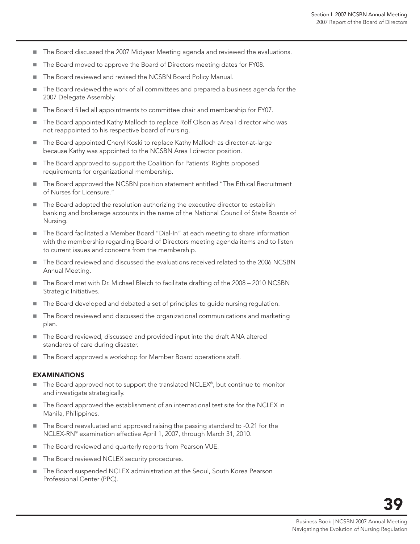- The Board discussed the 2007 Midyear Meeting agenda and reviewed the evaluations.
- The Board moved to approve the Board of Directors meeting dates for FY08.
- The Board reviewed and revised the NCSBN Board Policy Manual.
- The Board reviewed the work of all committees and prepared a business agenda for the 2007 Delegate Assembly.
- The Board filled all appointments to committee chair and membership for FY07.
- The Board appointed Kathy Malloch to replace Rolf Olson as Area I director who was not reappointed to his respective board of nursing.
- The Board appointed Cheryl Koski to replace Kathy Malloch as director-at-large because Kathy was appointed to the NCSBN Area I director position.
- The Board approved to support the Coalition for Patients' Rights proposed requirements for organizational membership.
- The Board approved the NCSBN position statement entitled "The Ethical Recruitment of Nurses for Licensure."
- The Board adopted the resolution authorizing the executive director to establish banking and brokerage accounts in the name of the National Council of State Boards of Nursing.
- The Board facilitated a Member Board "Dial-In" at each meeting to share information with the membership regarding Board of Directors meeting agenda items and to listen to current issues and concerns from the membership.
- The Board reviewed and discussed the evaluations received related to the 2006 NCSBN Annual Meeting.
- The Board met with Dr. Michael Bleich to facilitate drafting of the 2008 2010 NCSBN Strategic Initiatives.
- The Board developed and debated a set of principles to guide nursing regulation.
- The Board reviewed and discussed the organizational communications and marketing plan.
- The Board reviewed, discussed and provided input into the draft ANA altered standards of care during disaster.
- The Board approved a workshop for Member Board operations staff.

### **EXAMINATIONS**

- $\blacksquare$  The Board approved not to support the translated NCLEX®, but continue to monitor and investigate strategically.
- The Board approved the establishment of an international test site for the NCLEX in Manila, Philippines.
- The Board reevaluated and approved raising the passing standard to -0.21 for the NCLEX-RN® examination effective April 1, 2007, through March 31, 2010.
- The Board reviewed and quarterly reports from Pearson VUE.
- The Board reviewed NCLEX security procedures.
- The Board suspended NCLEX administration at the Seoul, South Korea Pearson Professional Center (PPC).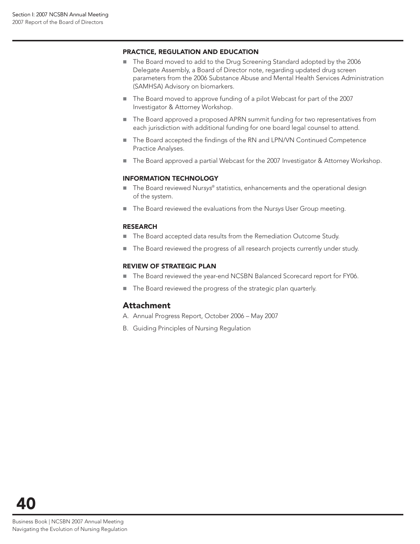### **PRACTICE, REGULATION AND EDUCATION**

- The Board moved to add to the Drug Screening Standard adopted by the 2006 Delegate Assembly, a Board of Director note, regarding updated drug screen parameters from the 2006 Substance Abuse and Mental Health Services Administration (SAMHSA) Advisory on biomarkers.
- The Board moved to approve funding of a pilot Webcast for part of the 2007 Investigator & Attorney Workshop.
- The Board approved a proposed APRN summit funding for two representatives from each jurisdiction with additional funding for one board legal counsel to attend.
- The Board accepted the findings of the RN and LPN/VN Continued Competence Practice Analyses.
- The Board approved a partial Webcast for the 2007 Investigator & Attorney Workshop.

#### **INFORMATION TECHNOLOGY**

- The Board reviewed Nursys® statistics, enhancements and the operational design of the system.
- The Board reviewed the evaluations from the Nursys User Group meeting.

#### **RESEARCH**

- The Board accepted data results from the Remediation Outcome Study.
- The Board reviewed the progress of all research projects currently under study.

#### **REVIEW OF STRATEGIC PLAN**

- The Board reviewed the year-end NCSBN Balanced Scorecard report for FY06.
- The Board reviewed the progress of the strategic plan quarterly.

# **Attachment**

- A. Annual Progress Report, October 2006 May 2007
- B. Guiding Principles of Nursing Regulation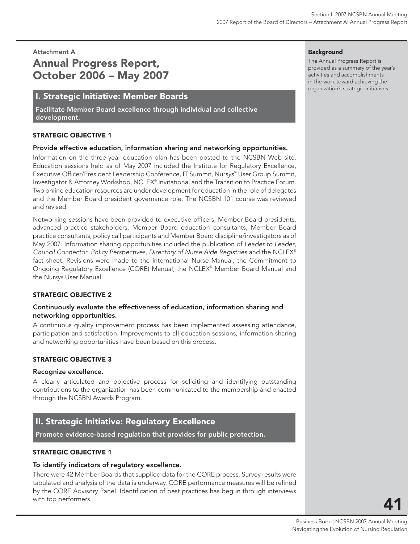# <span id="page-41-0"></span>**Attachment A Annual Progress Report, October 2006 – May 2007**

# **I. Strategic Initiative: Member Boards**

**Facilitate Member Board excellence through individual and collective development.**

# **STRATEGIC OBJECTIVE 1**

# **Provide effective education, information sharing and networking opportunities.**

Information on the three-year education plan has been posted to the NCSBN Web site. Education sessions held as of May 2007 included the Institute for Regulatory Excellence, Executive Officer/President Leadership Conference, IT Summit, Nursys® User Group Summit, Investigator & Attorney Workshop, NCLEX® Invitational and the Transition to Practice Forum. Two online education resources are under development for education in the role of delegates and the Member Board president governance role. The NCSBN 101 course was reviewed and revised.

Networking sessions have been provided to executive officers, Member Board presidents, advanced practice stakeholders, Member Board education consultants, Member Board practice consultants, policy call participants and Member Board discipline/investigators as of May 2007. Information sharing opportunities included the publication of Leader to Leader, Council Connector, Policy Perspectives, Directory of Nurse Aide Registries and the NCLEX® fact sheet. Revisions were made to the International Nurse Manual, the Commitment to Ongoing Regulatory Excellence (CORE) Manual, the NCLEX® Member Board Manual and the Nursys User Manual.

# **STRATEGIC OBJECTIVE 2**

# **Continuously evaluate the effectiveness of education, information sharing and networking opportunities.**

A continuous quality improvement process has been implemented assessing attendance, participation and satisfaction. Improvements to all education sessions, information sharing and networking opportunities have been based on this process.

# **STRATEGIC OBJECTIVE 3**

# **Recognize excellence.**

A clearly articulated and objective process for soliciting and identifying outstanding contributions to the organization has been communicated to the membership and enacted through the NCSBN Awards Program.

# **II. Strategic Initiative: Regulatory Excellence**

**Promote evidence-based regulation that provides for public protection.**

# **STRATEGIC OBJECTIVE 1**

# **To identify indicators of regulatory excellence.**

There were 42 Member Boards that supplied data for the CORE process. Survey results were tabulated and analysis of the data is underway. CORE performance measures will be refined by the CORE Advisory Panel. Identification of best practices has begun through interviews with top performers.

# **Background**

The Annual Progress Report is provided as a summary of the year's activities and accomplishments in the work toward achieving the organization's strategic initiatives.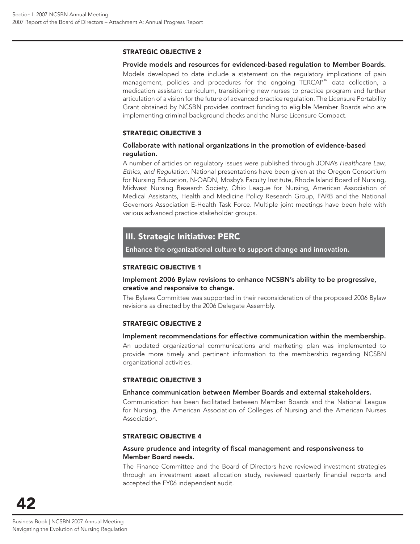# **STRATEGIC OBJECTIVE 2**

### **Provide models and resources for evidenced-based regulation to Member Boards.**

Models developed to date include a statement on the regulatory implications of pain management, policies and procedures for the ongoing TERCAP™ data collection, a medication assistant curriculum, transitioning new nurses to practice program and further articulation of a vision for the future of advanced practice regulation. The Licensure Portability Grant obtained by NCSBN provides contract funding to eligible Member Boards who are implementing criminal background checks and the Nurse Licensure Compact.

# **STRATEGIC OBJECTIVE 3**

### **Collaborate with national organizations in the promotion of evidence-based regulation.**

A number of articles on regulatory issues were published through JONA's Healthcare Law, Ethics, and Regulation. National presentations have been given at the Oregon Consortium for Nursing Education, N-OADN, Mosby's Faculty Institute, Rhode Island Board of Nursing, Midwest Nursing Research Society, Ohio League for Nursing, American Association of Medical Assistants, Health and Medicine Policy Research Group, FARB and the National Governors Association E-Health Task Force. Multiple joint meetings have been held with various advanced practice stakeholder groups.

# **III. Strategic Initiative: PERC**

**Enhance the organizational culture to support change and innovation.**

# **STRATEGIC OBJECTIVE 1**

# **Implement 2006 Bylaw revisions to enhance NCSBN's ability to be progressive, creative and responsive to change.**

The Bylaws Committee was supported in their reconsideration of the proposed 2006 Bylaw revisions as directed by the 2006 Delegate Assembly.

# **STRATEGIC OBJECTIVE 2**

### **Implement recommendations for effective communication within the membership.**

An updated organizational communications and marketing plan was implemented to provide more timely and pertinent information to the membership regarding NCSBN organizational activities.

### **STRATEGIC OBJECTIVE 3**

### **Enhance communication between Member Boards and external stakeholders.**

Communication has been facilitated between Member Boards and the National League for Nursing, the American Association of Colleges of Nursing and the American Nurses Association.

### **STRATEGIC OBJECTIVE 4**

### **Assure prudence and integrity of fiscal management and responsiveness to Member Board needs.**

The Finance Committee and the Board of Directors have reviewed investment strategies through an investment asset allocation study, reviewed quarterly financial reports and accepted the FY06 independent audit.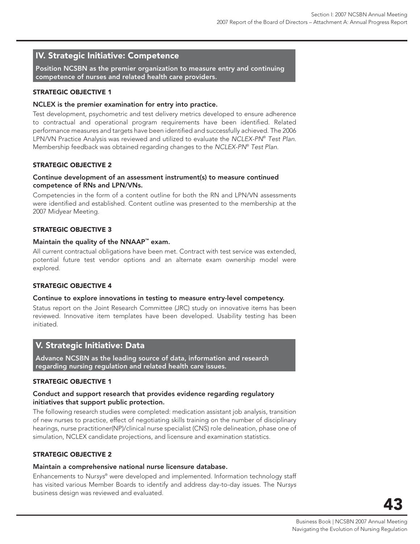# **IV. Strategic Initiative: Competence**

**Position NCSBN as the premier organization to measure entry and continuing competence of nurses and related health care providers.**

### **STRATEGIC OBJECTIVE 1**

### **NCLEX is the premier examination for entry into practice.**

Test development, psychometric and test delivery metrics developed to ensure adherence to contractual and operational program requirements have been identified. Related performance measures and targets have been identified and successfully achieved. The 2006 LPN/VN Practice Analysis was reviewed and utilized to evaluate the NCLEX-PN® Test Plan. Membership feedback was obtained regarding changes to the NCLEX-PN® Test Plan.

# **STRATEGIC OBJECTIVE 2**

### **Continue development of an assessment instrument(s) to measure continued competence of RNs and LPN/VNs.**

Competencies in the form of a content outline for both the RN and LPN/VN assessments were identified and established. Content outline was presented to the membership at the 2007 Midyear Meeting.

### **STRATEGIC OBJECTIVE 3**

# **Maintain the quality of the NNAAP™ exam.**

All current contractual obligations have been met. Contract with test service was extended, potential future test vendor options and an alternate exam ownership model were explored.

# **STRATEGIC OBJECTIVE 4**

### **Continue to explore innovations in testing to measure entry-level competency.**

Status report on the Joint Research Committee (JRC) study on innovative items has been reviewed. Innovative item templates have been developed. Usability testing has been initiated.

# **V. Strategic Initiative: Data**

**Advance NCSBN as the leading source of data, information and research regarding nursing regulation and related health care issues.**

# **STRATEGIC OBJECTIVE 1**

### **Conduct and support research that provides evidence regarding regulatory initiatives that support public protection.**

The following research studies were completed: medication assistant job analysis, transition of new nurses to practice, effect of negotiating skills training on the number of disciplinary hearings, nurse practitioner(NP)/clinical nurse specialist (CNS) role delineation, phase one of simulation, NCLEX candidate projections, and licensure and examination statistics.

# **STRATEGIC OBJECTIVE 2**

### **Maintain a comprehensive national nurse licensure database.**

Enhancements to Nursys® were developed and implemented. Information technology staff has visited various Member Boards to identify and address day-to-day issues. The Nursys business design was reviewed and evaluated.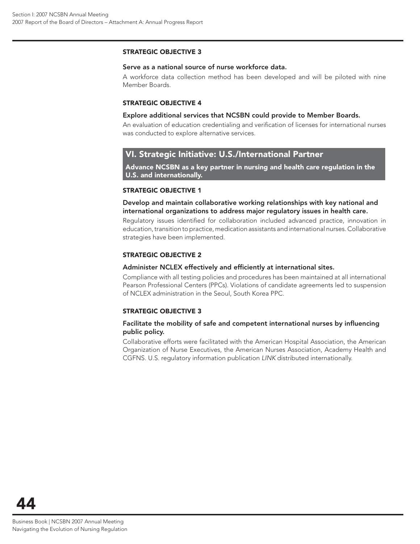### **STRATEGIC OBJECTIVE 3**

#### **Serve as a national source of nurse workforce data.**

A workforce data collection method has been developed and will be piloted with nine Member Boards.

### **STRATEGIC OBJECTIVE 4**

### **Explore additional services that NCSBN could provide to Member Boards.**

An evaluation of education credentialing and verification of licenses for international nurses was conducted to explore alternative services.

# **VI. Strategic Initiative: U.S./International Partner**

**Advance NCSBN as a key partner in nursing and health care regulation in the U.S. and internationally.**

### **STRATEGIC OBJECTIVE 1**

### **Develop and maintain collaborative working relationships with key national and international organizations to address major regulatory issues in health care.**

Regulatory issues identified for collaboration included advanced practice, innovation in education, transition to practice, medication assistants and international nurses. Collaborative strategies have been implemented.

# **STRATEGIC OBJECTIVE 2**

### **Administer NCLEX effectively and efficiently at international sites.**

Compliance with all testing policies and procedures has been maintained at all international Pearson Professional Centers (PPCs). Violations of candidate agreements led to suspension of NCLEX administration in the Seoul, South Korea PPC.

### **STRATEGIC OBJECTIVE 3**

### **Facilitate the mobility of safe and competent international nurses by influencing public policy.**

Collaborative efforts were facilitated with the American Hospital Association, the American Organization of Nurse Executives, the American Nurses Association, Academy Health and CGFNS. U.S. regulatory information publication LINK distributed internationally.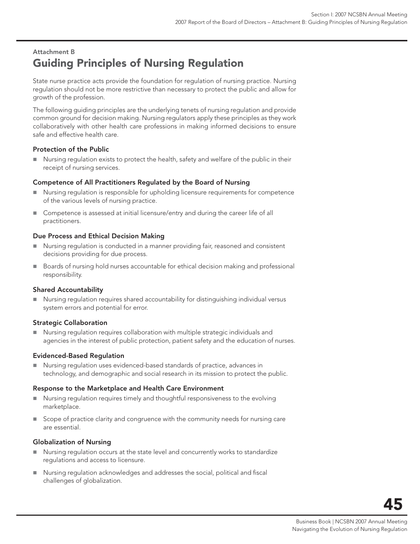# <span id="page-45-0"></span>**Attachment B Guiding Principles of Nursing Regulation**

State nurse practice acts provide the foundation for regulation of nursing practice. Nursing regulation should not be more restrictive than necessary to protect the public and allow for growth of the profession.

The following guiding principles are the underlying tenets of nursing regulation and provide common ground for decision making. Nursing regulators apply these principles as they work collaboratively with other health care professions in making informed decisions to ensure safe and effective health care.

# **Protection of the Public**

 Nursing regulation exists to protect the health, safety and welfare of the public in their receipt of nursing services.

# **Competence of All Practitioners Regulated by the Board of Nursing**

- Nursing regulation is responsible for upholding licensure requirements for competence of the various levels of nursing practice.
- Competence is assessed at initial licensure/entry and during the career life of all practitioners.

# **Due Process and Ethical Decision Making**

- Nursing regulation is conducted in a manner providing fair, reasoned and consistent decisions providing for due process.
- Boards of nursing hold nurses accountable for ethical decision making and professional responsibility.

# **Shared Accountability**

 Nursing regulation requires shared accountability for distinguishing individual versus system errors and potential for error.

# **Strategic Collaboration**

 Nursing regulation requires collaboration with multiple strategic individuals and agencies in the interest of public protection, patient safety and the education of nurses.

# **Evidenced-Based Regulation**

 Nursing regulation uses evidenced-based standards of practice, advances in technology, and demographic and social research in its mission to protect the public.

# **Response to the Marketplace and Health Care Environment**

- Nursing regulation requires timely and thoughtful responsiveness to the evolving marketplace.
- Scope of practice clarity and congruence with the community needs for nursing care are essential.

# **Globalization of Nursing**

- Nursing regulation occurs at the state level and concurrently works to standardize regulations and access to licensure.
- Nursing regulation acknowledges and addresses the social, political and fiscal challenges of globalization.